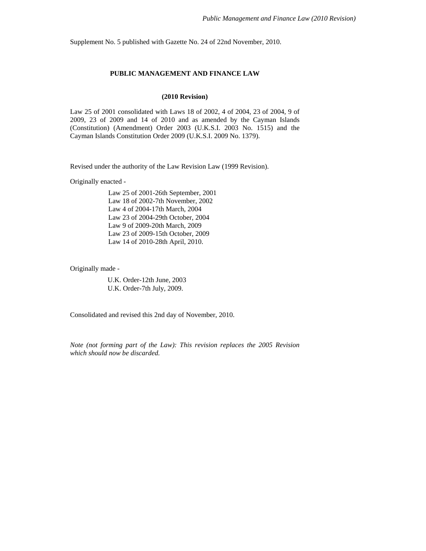Supplement No. 5 published with Gazette No. 24 of 22nd November, 2010.

## **PUBLIC MANAGEMENT AND FINANCE LAW**

#### **(2010 Revision)**

Law 25 of 2001 consolidated with Laws 18 of 2002, 4 of 2004, 23 of 2004, 9 of 2009, 23 of 2009 and 14 of 2010 and as amended by the Cayman Islands (Constitution) (Amendment) Order 2003 (U.K.S.I. 2003 No. 1515) and the Cayman Islands Constitution Order 2009 (U.K.S.I. 2009 No. 1379).

Revised under the authority of the Law Revision Law (1999 Revision).

Originally enacted -

Law 25 of 2001-26th September, 2001 Law 18 of 2002-7th November, 2002 Law 4 of 2004-17th March, 2004 Law 23 of 2004-29th October, 2004 Law 9 of 2009-20th March, 2009 Law 23 of 2009-15th October, 2009 Law 14 of 2010-28th April, 2010.

Originally made -

U.K. Order-12th June, 2003 U.K. Order-7th July, 2009.

Consolidated and revised this 2nd day of November, 2010.

*Note (not forming part of the Law): This revision replaces the 2005 Revision which should now be discarded.*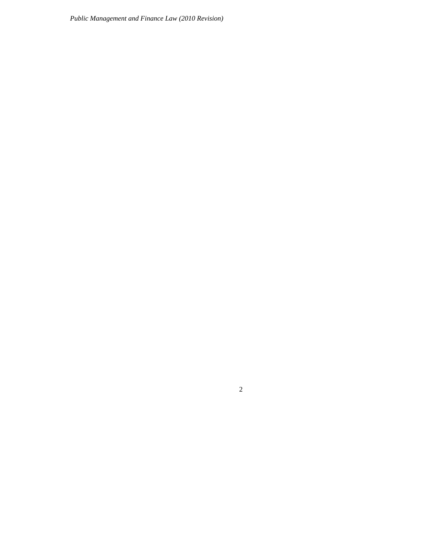*Public Management and Finance Law (2010 Revision)*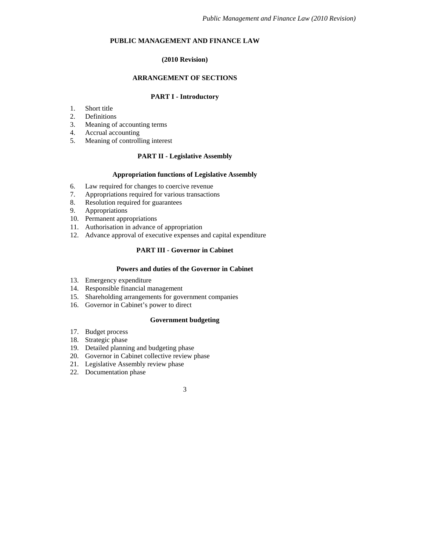## **PUBLIC MANAGEMENT AND FINANCE LAW**

## **(2010 Revision)**

## **ARRANGEMENT OF SECTIONS**

## **PART I - Introductory**

- 1. Short title
- 2. Definitions
- 3. Meaning of accounting terms
- 4. Accrual accounting
- 5. Meaning of controlling interest

## **PART II - Legislative Assembly**

### **Appropriation functions of Legislative Assembly**

- 6. Law required for changes to coercive revenue
- 7. Appropriations required for various transactions
- 8. Resolution required for guarantees
- 9. Appropriations
- 10. Permanent appropriations
- 11. Authorisation in advance of appropriation
- 12. Advance approval of executive expenses and capital expenditure

## **PART III - Governor in Cabinet**

## **Powers and duties of the Governor in Cabinet**

- 13. Emergency expenditure
- 14. Responsible financial management
- 15. Shareholding arrangements for government companies
- 16. Governor in Cabinet's power to direct

## **Government budgeting**

- 17. Budget process
- 18. Strategic phase
- 19. Detailed planning and budgeting phase
- 20. Governor in Cabinet collective review phase
- 21. Legislative Assembly review phase
- 22. Documentation phase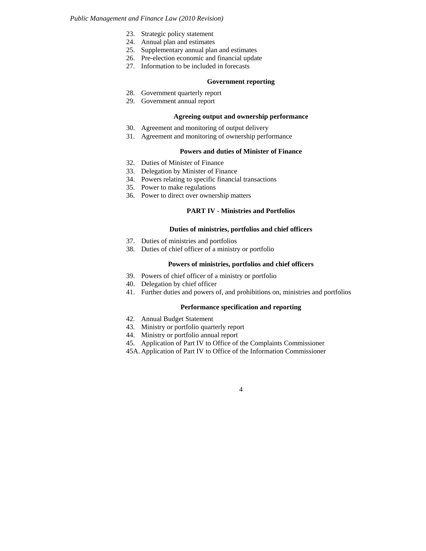- 23. Strategic policy statement
- 24. Annual plan and estimates
- 25. Supplementary annual plan and estimates
- 26. Pre-election economic and financial update
- 27. Information to be included in forecasts

## **Government reporting**

- 28. Government quarterly report
- 29. Government annual report

### **Agreeing output and ownership performance**

- 30. Agreement and monitoring of output delivery
- 31. Agreement and monitoring of ownership performance

## **Powers and duties of Minister of Finance**

- 32. Duties of Minister of Finance
- 33. Delegation by Minister of Finance
- 34. Powers relating to specific financial transactions
- 35. Power to make regulations
- 36. Power to direct over ownership matters

## **PART IV - Ministries and Portfolios**

## **Duties of ministries, portfolios and chief officers**

- 37. Duties of ministries and portfolios
- 38. Duties of chief officer of a ministry or portfolio

## **Powers of ministries, portfolios and chief officers**

- 39. Powers of chief officer of a ministry or portfolio
- 40. Delegation by chief officer
- 41. Further duties and powers of, and prohibitions on, ministries and portfolios

## **Performance specification and reporting**

- 42. Annual Budget Statement
- 43. Ministry or portfolio quarterly report
- 44. Ministry or portfolio annual report
- 45. Application of Part IV to Office of the Complaints Commissioner
- 45A. Application of Part IV to Office of the Information Commissioner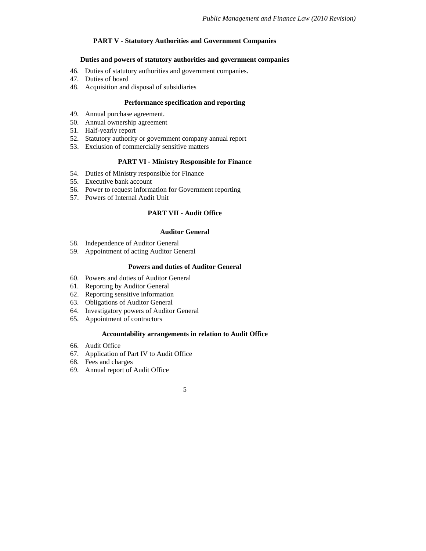## **PART V - Statutory Authorities and Government Companies**

### **Duties and powers of statutory authorities and government companies**

- 46. Duties of statutory authorities and government companies.
- 47. Duties of board
- 48. Acquisition and disposal of subsidiaries

## **Performance specification and reporting**

- 49. Annual purchase agreement.
- 50. Annual ownership agreement
- 51. Half-yearly report
- 52. Statutory authority or government company annual report
- 53. Exclusion of commercially sensitive matters

### **PART VI - Ministry Responsible for Finance**

- 54. Duties of Ministry responsible for Finance
- 55. Executive bank account
- 56. Power to request information for Government reporting
- 57. Powers of Internal Audit Unit

## **PART VII - Audit Office**

#### **Auditor General**

- 58. Independence of Auditor General
- 59. Appointment of acting Auditor General

### **Powers and duties of Auditor General**

- 60. Powers and duties of Auditor General
- 61. Reporting by Auditor General
- 62. Reporting sensitive information
- 63. Obligations of Auditor General
- 64. Investigatory powers of Auditor General
- 65. Appointment of contractors

### **Accountability arrangements in relation to Audit Office**

- 66. Audit Office
- 67. Application of Part IV to Audit Office
- 68. Fees and charges
- 69. Annual report of Audit Office

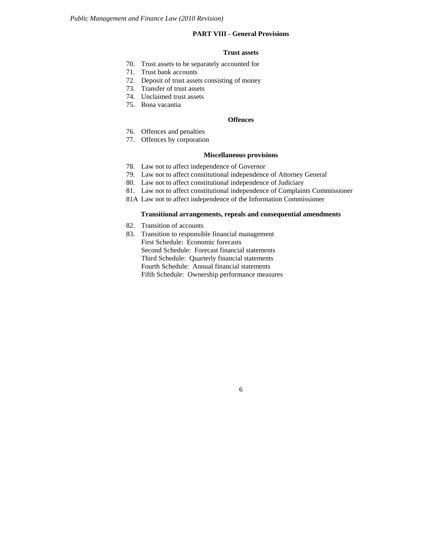# **PART VIII - General Provisions**

#### **Trust assets**

- 70. Trust assets to be separately accounted for
- 71. Trust bank accounts
- 72. Deposit of trust assets consisting of money
- 73. Transfer of trust assets
- 74. Unclaimed trust assets
- 75. Bona vacantia

#### **Offences**

- 76. Offences and penalties
- 77. Offences by corporation

#### **Miscellaneous provisions**

- 78. Law not to affect independence of Governor
- 79. Law not to affect constitutional independence of Attorney General
- 80. Law not to affect constitutional independence of Judiciary
- 81. Law not to affect constitutional independence of Complaints Commissioner
- 81A Law not to affect independence of the Information Commissioner

## **Transitional arrangements, repeals and consequential amendments**

- 82. Transition of accounts
- 83. Transition to responsible financial management First Schedule: Economic forecasts Second Schedule: Forecast financial statements Third Schedule: Quarterly financial statements Fourth Schedule: Annual financial statements Fifth Schedule: Ownership performance measures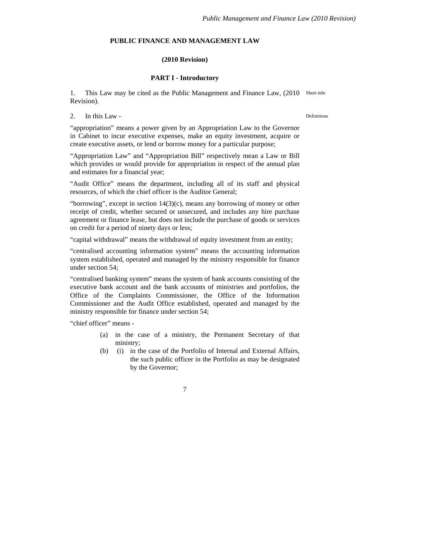### **PUBLIC FINANCE AND MANAGEMENT LAW**

## **(2010 Revision)**

#### **PART I - Introductory**

1. This Law may be cited as the Public Management and Finance Law, (2010 Short title Revision).

2. In this Law - Definitions

"appropriation" means a power given by an Appropriation Law to the Governor in Cabinet to incur executive expenses, make an equity investment, acquire or create executive assets, or lend or borrow money for a particular purpose;

"Appropriation Law" and "Appropriation Bill" respectively mean a Law or Bill which provides or would provide for appropriation in respect of the annual plan and estimates for a financial year;

"Audit Office" means the department, including all of its staff and physical resources, of which the chief officer is the Auditor General;

"borrowing", except in section 14(3)(c), means any borrowing of money or other receipt of credit, whether secured or unsecured, and includes any hire purchase agreement or finance lease, but does not include the purchase of goods or services on credit for a period of ninety days or less;

"capital withdrawal" means the withdrawal of equity investment from an entity;

"centralised accounting information system" means the accounting information system established, operated and managed by the ministry responsible for finance under section 54;

"centralised banking system" means the system of bank accounts consisting of the executive bank account and the bank accounts of ministries and portfolios, the Office of the Complaints Commissioner, the Office of the Information Commissioner and the Audit Office established, operated and managed by the ministry responsible for finance under section 54;

"chief officer" means -

- (a) in the case of a ministry, the Permanent Secretary of that ministry;
- (b) (i) in the case of the Portfolio of Internal and External Affairs, the such public officer in the Portfolio as may be designated by the Governor;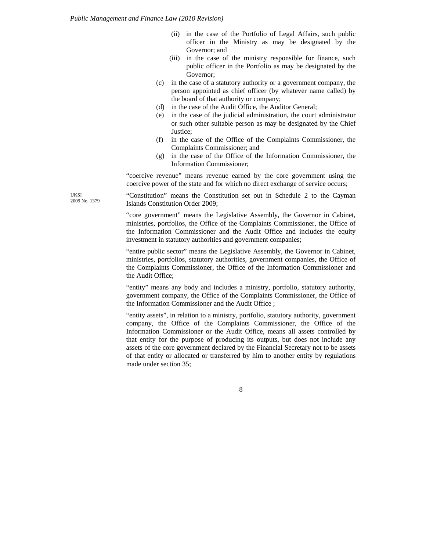- (ii) in the case of the Portfolio of Legal Affairs, such public officer in the Ministry as may be designated by the Governor; and
- (iii) in the case of the ministry responsible for finance, such public officer in the Portfolio as may be designated by the Governor;
- (c) in the case of a statutory authority or a government company, the person appointed as chief officer (by whatever name called) by the board of that authority or company;
- (d) in the case of the Audit Office, the Auditor General;
- (e) in the case of the judicial administration, the court administrator or such other suitable person as may be designated by the Chief Justice;
- (f) in the case of the Office of the Complaints Commissioner, the Complaints Commissioner; and
- (g) in the case of the Office of the Information Commissioner, the Information Commissioner;

"coercive revenue" means revenue earned by the core government using the coercive power of the state and for which no direct exchange of service occurs;

"Constitution" means the Constitution set out in Schedule 2 to the Cayman Islands Constitution Order 2009;

"core government" means the Legislative Assembly, the Governor in Cabinet, ministries, portfolios, the Office of the Complaints Commissioner, the Office of the Information Commissioner and the Audit Office and includes the equity investment in statutory authorities and government companies;

"entire public sector" means the Legislative Assembly, the Governor in Cabinet, ministries, portfolios, statutory authorities, government companies, the Office of the Complaints Commissioner, the Office of the Information Commissioner and the Audit Office;

"entity" means any body and includes a ministry, portfolio, statutory authority, government company, the Office of the Complaints Commissioner, the Office of the Information Commissioner and the Audit Office ;

"entity assets", in relation to a ministry, portfolio, statutory authority, government company, the Office of the Complaints Commissioner, the Office of the Information Commissioner or the Audit Office, means all assets controlled by that entity for the purpose of producing its outputs, but does not include any assets of the core government declared by the Financial Secretary not to be assets of that entity or allocated or transferred by him to another entity by regulations made under section 35;

8

UKSI 2009 No. 1379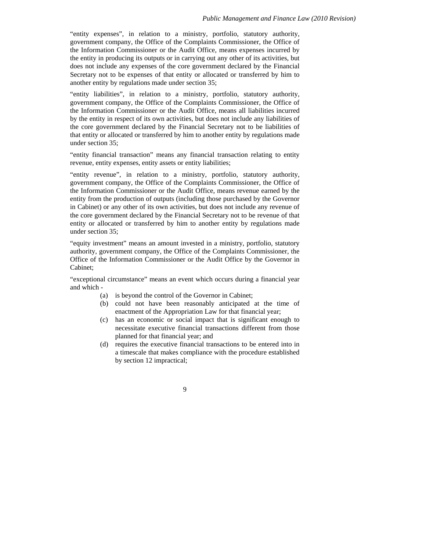"entity expenses", in relation to a ministry, portfolio, statutory authority, government company, the Office of the Complaints Commissioner, the Office of the Information Commissioner or the Audit Office, means expenses incurred by the entity in producing its outputs or in carrying out any other of its activities, but does not include any expenses of the core government declared by the Financial Secretary not to be expenses of that entity or allocated or transferred by him to another entity by regulations made under section 35;

"entity liabilities", in relation to a ministry, portfolio, statutory authority, government company, the Office of the Complaints Commissioner, the Office of the Information Commissioner or the Audit Office, means all liabilities incurred by the entity in respect of its own activities, but does not include any liabilities of the core government declared by the Financial Secretary not to be liabilities of that entity or allocated or transferred by him to another entity by regulations made under section 35;

"entity financial transaction" means any financial transaction relating to entity revenue, entity expenses, entity assets or entity liabilities;

"entity revenue", in relation to a ministry, portfolio, statutory authority, government company, the Office of the Complaints Commissioner, the Office of the Information Commissioner or the Audit Office, means revenue earned by the entity from the production of outputs (including those purchased by the Governor in Cabinet) or any other of its own activities, but does not include any revenue of the core government declared by the Financial Secretary not to be revenue of that entity or allocated or transferred by him to another entity by regulations made under section 35;

"equity investment" means an amount invested in a ministry, portfolio, statutory authority, government company, the Office of the Complaints Commissioner, the Office of the Information Commissioner or the Audit Office by the Governor in Cabinet;

"exceptional circumstance" means an event which occurs during a financial year and which -

- (a) is beyond the control of the Governor in Cabinet;
- (b) could not have been reasonably anticipated at the time of enactment of the Appropriation Law for that financial year;
- (c) has an economic or social impact that is significant enough to necessitate executive financial transactions different from those planned for that financial year; and
- (d) requires the executive financial transactions to be entered into in a timescale that makes compliance with the procedure established by section 12 impractical;

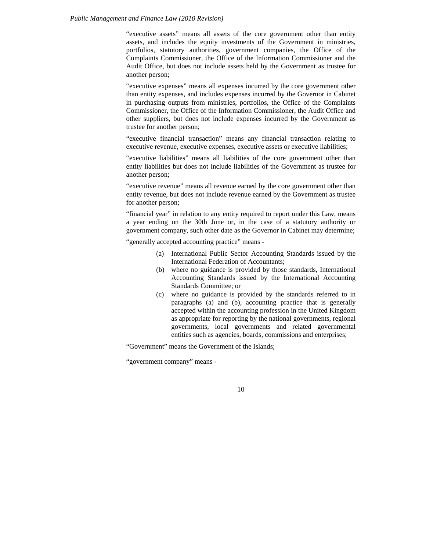#### *Public Management and Finance Law (2010 Revision)*

"executive assets" means all assets of the core government other than entity assets, and includes the equity investments of the Government in ministries, portfolios, statutory authorities, government companies, the Office of the Complaints Commissioner, the Office of the Information Commissioner and the Audit Office, but does not include assets held by the Government as trustee for another person;

"executive expenses" means all expenses incurred by the core government other than entity expenses, and includes expenses incurred by the Governor in Cabinet in purchasing outputs from ministries, portfolios, the Office of the Complaints Commissioner, the Office of the Information Commissioner, the Audit Office and other suppliers, but does not include expenses incurred by the Government as trustee for another person;

"executive financial transaction" means any financial transaction relating to executive revenue, executive expenses, executive assets or executive liabilities;

"executive liabilities" means all liabilities of the core government other than entity liabilities but does not include liabilities of the Government as trustee for another person;

"executive revenue" means all revenue earned by the core government other than entity revenue, but does not include revenue earned by the Government as trustee for another person;

"financial year" in relation to any entity required to report under this Law, means a year ending on the 30th June or, in the case of a statutory authority or government company, such other date as the Governor in Cabinet may determine;

"generally accepted accounting practice" means -

- (a) International Public Sector Accounting Standards issued by the International Federation of Accountants;
- (b) where no guidance is provided by those standards, International Accounting Standards issued by the International Accounting Standards Committee; or
- (c) where no guidance is provided by the standards referred to in paragraphs (a) and (b), accounting practice that is generally accepted within the accounting profession in the United Kingdom as appropriate for reporting by the national governments, regional governments, local governments and related governmental entities such as agencies, boards, commissions and enterprises;

"Government" means the Government of the Islands;

"government company" means -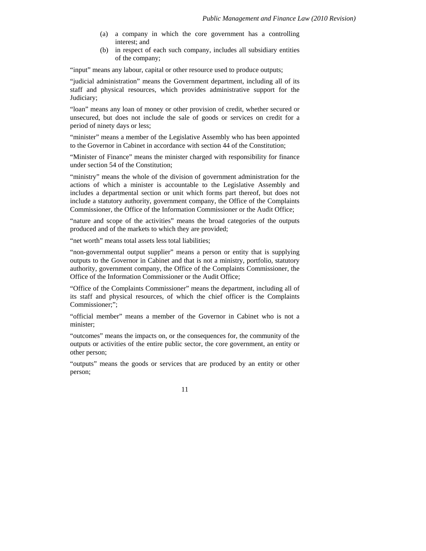- (a) a company in which the core government has a controlling interest; and
- (b) in respect of each such company, includes all subsidiary entities of the company;

"input" means any labour, capital or other resource used to produce outputs;

"judicial administration" means the Government department, including all of its staff and physical resources, which provides administrative support for the Judiciary;

"loan" means any loan of money or other provision of credit, whether secured or unsecured, but does not include the sale of goods or services on credit for a period of ninety days or less;

"minister" means a member of the Legislative Assembly who has been appointed to the Governor in Cabinet in accordance with section 44 of the Constitution;

"Minister of Finance" means the minister charged with responsibility for finance under section 54 of the Constitution;

"ministry" means the whole of the division of government administration for the actions of which a minister is accountable to the Legislative Assembly and includes a departmental section or unit which forms part thereof, but does not include a statutory authority, government company, the Office of the Complaints Commissioner, the Office of the Information Commissioner or the Audit Office;

"nature and scope of the activities" means the broad categories of the outputs produced and of the markets to which they are provided;

"net worth" means total assets less total liabilities;

"non-governmental output supplier" means a person or entity that is supplying outputs to the Governor in Cabinet and that is not a ministry, portfolio, statutory authority, government company, the Office of the Complaints Commissioner, the Office of the Information Commissioner or the Audit Office;

"Office of the Complaints Commissioner" means the department, including all of its staff and physical resources, of which the chief officer is the Complaints Commissioner;";

"official member" means a member of the Governor in Cabinet who is not a minister;

"outcomes" means the impacts on, or the consequences for, the community of the outputs or activities of the entire public sector, the core government, an entity or other person;

"outputs" means the goods or services that are produced by an entity or other person;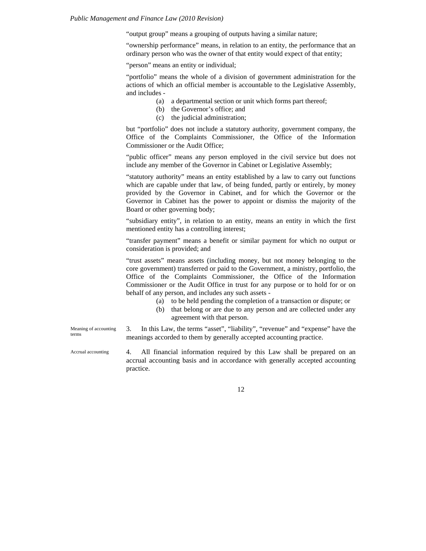*Public Management and Finance Law (2010 Revision)* 

terms

"output group" means a grouping of outputs having a similar nature;

"ownership performance" means, in relation to an entity, the performance that an ordinary person who was the owner of that entity would expect of that entity;

"person" means an entity or individual;

"portfolio" means the whole of a division of government administration for the actions of which an official member is accountable to the Legislative Assembly, and includes -

- (a) a departmental section or unit which forms part thereof;
- (b) the Governor's office; and
- (c) the judicial administration;

but "portfolio" does not include a statutory authority, government company, the Office of the Complaints Commissioner, the Office of the Information Commissioner or the Audit Office;

"public officer" means any person employed in the civil service but does not include any member of the Governor in Cabinet or Legislative Assembly;

"statutory authority" means an entity established by a law to carry out functions which are capable under that law, of being funded, partly or entirely, by money provided by the Governor in Cabinet, and for which the Governor or the Governor in Cabinet has the power to appoint or dismiss the majority of the Board or other governing body;

"subsidiary entity", in relation to an entity, means an entity in which the first mentioned entity has a controlling interest;

"transfer payment" means a benefit or similar payment for which no output or consideration is provided; and

"trust assets" means assets (including money, but not money belonging to the core government) transferred or paid to the Government, a ministry, portfolio, the Office of the Complaints Commissioner, the Office of the Information Commissioner or the Audit Office in trust for any purpose or to hold for or on behalf of any person, and includes any such assets -

- (a) to be held pending the completion of a transaction or dispute; or
- (b) that belong or are due to any person and are collected under any agreement with that person.

3. In this Law, the terms "asset", "liability", "revenue" and "expense" have the meanings accorded to them by generally accepted accounting practice. Meaning of accounting

4. All financial information required by this Law shall be prepared on an accrual accounting basis and in accordance with generally accepted accounting practice. Accrual accounting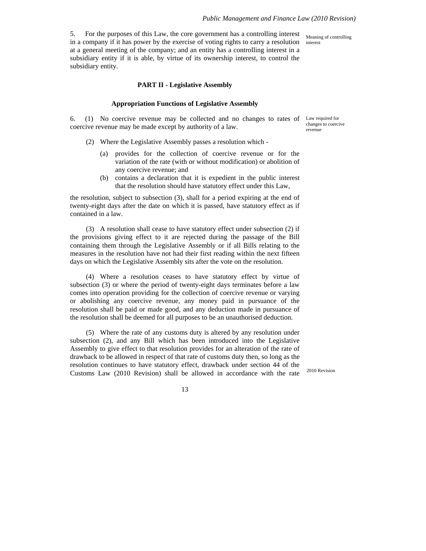Meaning of controlling interest

5. For the purposes of this Law, the core government has a controlling interest in a company if it has power by the exercise of voting rights to carry a resolution at a general meeting of the company; and an entity has a controlling interest in a subsidiary entity if it is able, by virtue of its ownership interest, to control the subsidiary entity.

#### **PART II - Legislative Assembly**

#### **Appropriation Functions of Legislative Assembly**

6. (1) No coercive revenue may be collected and no changes to rates of Law required for coercive revenue may be made except by authority of a law.

changes to coercive revenue

- (2) Where the Legislative Assembly passes a resolution which
	- (a) provides for the collection of coercive revenue or for the variation of the rate (with or without modification) or abolition of any coercive revenue; and
	- (b) contains a declaration that it is expedient in the public interest that the resolution should have statutory effect under this Law,

the resolution, subject to subsection (3), shall for a period expiring at the end of twenty-eight days after the date on which it is passed, have statutory effect as if contained in a law.

 (3) A resolution shall cease to have statutory effect under subsection (2) if the provisions giving effect to it are rejected during the passage of the Bill containing them through the Legislative Assembly or if all Bills relating to the measures in the resolution have not had their first reading within the next fifteen days on which the Legislative Assembly sits after the vote on the resolution.

 (4) Where a resolution ceases to have statutory effect by virtue of subsection (3) or where the period of twenty-eight days terminates before a law comes into operation providing for the collection of coercive revenue or varying or abolishing any coercive revenue, any money paid in pursuance of the resolution shall be paid or made good, and any deduction made in pursuance of the resolution shall be deemed for all purposes to be an unauthorised deduction.

 (5) Where the rate of any customs duty is altered by any resolution under subsection (2), and any Bill which has been introduced into the Legislative Assembly to give effect to that resolution provides for an alteration of the rate of drawback to be allowed in respect of that rate of customs duty then, so long as the resolution continues to have statutory effect, drawback under section 44 of the Customs Law (2010 Revision) shall be allowed in accordance with the rate 2010 Revision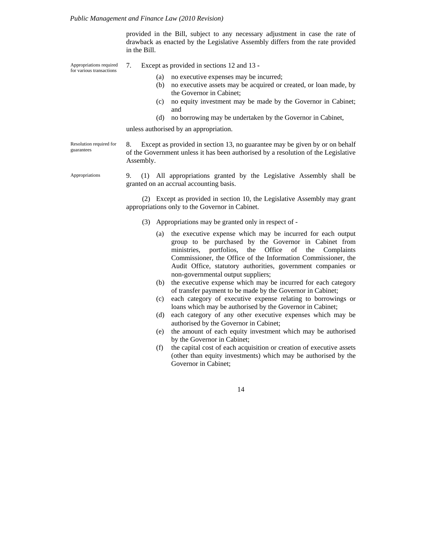#### *Public Management and Finance Law (2010 Revision)*

provided in the Bill, subject to any necessary adjustment in case the rate of drawback as enacted by the Legislative Assembly differs from the rate provided in the Bill.

- Appropriations required 7. Except as provided in sections 12 and 13 **-** for various transactions
	- (a) no executive expenses may be incurred;
	- (b) no executive assets may be acquired or created, or loan made, by the Governor in Cabinet;
	- (c) no equity investment may be made by the Governor in Cabinet; and
	- (d) no borrowing may be undertaken by the Governor in Cabinet,

unless authorised by an appropriation.

8. Except as provided in section 13, no guarantee may be given by or on behalf of the Government unless it has been authorised by a resolution of the Legislative Assembly. Resolution required for guarantees

9. (1) All appropriations granted by the Legislative Assembly shall be granted on an accrual accounting basis. Appropriations

> (2) Except as provided in section 10, the Legislative Assembly may grant appropriations only to the Governor in Cabinet.

- (3) Appropriations may be granted only in respect of
	- (a) the executive expense which may be incurred for each output group to be purchased by the Governor in Cabinet from ministries, portfolios, the Office of the Complaints Commissioner, the Office of the Information Commissioner, the Audit Office, statutory authorities, government companies or non-governmental output suppliers;
	- (b) the executive expense which may be incurred for each category of transfer payment to be made by the Governor in Cabinet;
	- (c) each category of executive expense relating to borrowings or loans which may be authorised by the Governor in Cabinet;
	- (d) each category of any other executive expenses which may be authorised by the Governor in Cabinet;
	- (e) the amount of each equity investment which may be authorised by the Governor in Cabinet;
	- (f) the capital cost of each acquisition or creation of executive assets (other than equity investments) which may be authorised by the Governor in Cabinet;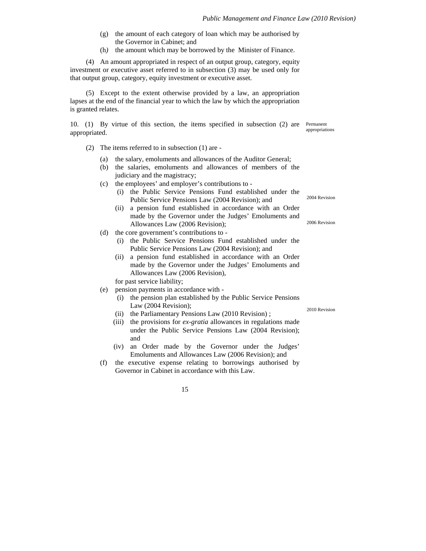- (g) the amount of each category of loan which may be authorised by the Governor in Cabinet; and
- (h*)* the amount which may be borrowed by the Minister of Finance.

 (4) An amount appropriated in respect of an output group, category, equity investment or executive asset referred to in subsection (3) may be used only for that output group, category, equity investment or executive asset.

 (5) Except to the extent otherwise provided by a law, an appropriation lapses at the end of the financial year to which the law by which the appropriation is granted relates.

10. (1) By virtue of this section, the items specified in subsection (2) are appropriated.

(2) The items referred to in subsection (1) are -

- (a) the salary, emoluments and allowances of the Auditor General;
- (b) the salaries, emoluments and allowances of members of the judiciary and the magistracy;

(c) the employees' and employer's contributions to -

- (i) the Public Service Pensions Fund established under the Public Service Pensions Law (2004 Revision); and 2004 Revision
- (ii) a pension fund established in accordance with an Order made by the Governor under the Judges' Emoluments and Allowances Law (2006 Revision); 2006 Revision
- (d) the core government's contributions to
	- (i) the Public Service Pensions Fund established under the Public Service Pensions Law (2004 Revision); and
	- (ii) a pension fund established in accordance with an Order made by the Governor under the Judges' Emoluments and Allowances Law (2006 Revision),

for past service liability;

#### (e) pension payments in accordance with -

- (i) the pension plan established by the Public Service Pensions Law (2004 Revision);<br>
(ii) the Parliamentary Pensions Law (2010 Revision) ; <sup>2010 Revision</sup>
- 
- (iii) the provisions for *ex-gratia* allowances in regulations made under the Public Service Pensions Law (2004 Revision); and
- (iv) an Order made by the Governor under the Judges' Emoluments and Allowances Law (2006 Revision); and
- (f) the executive expense relating to borrowings authorised by Governor in Cabinet in accordance with this Law.

Permanent appropriations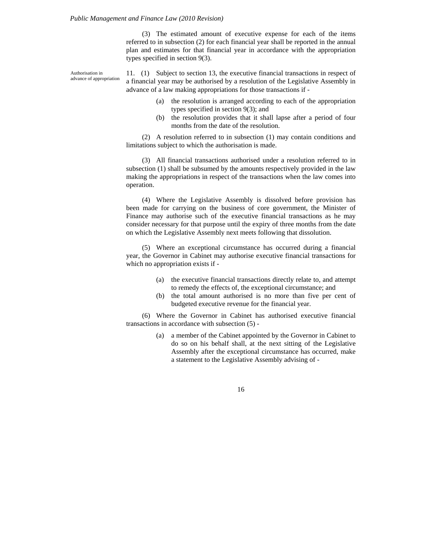(3) The estimated amount of executive expense for each of the items referred to in subsection (2) for each financial year shall be reported in the annual plan and estimates for that financial year in accordance with the appropriation types specified in section 9(3).

Authorisation in advance of appropriation

11. (1) Subject to section 13, the executive financial transactions in respect of a financial year may be authorised by a resolution of the Legislative Assembly in advance of a law making appropriations for those transactions if -

- (a) the resolution is arranged according to each of the appropriation types specified in section 9(3); and
- (b) the resolution provides that it shall lapse after a period of four months from the date of the resolution.

 (2) A resolution referred to in subsection (1) may contain conditions and limitations subject to which the authorisation is made.

 (3) All financial transactions authorised under a resolution referred to in subsection (1) shall be subsumed by the amounts respectively provided in the law making the appropriations in respect of the transactions when the law comes into operation.

 (4) Where the Legislative Assembly is dissolved before provision has been made for carrying on the business of core government, the Minister of Finance may authorise such of the executive financial transactions as he may consider necessary for that purpose until the expiry of three months from the date on which the Legislative Assembly next meets following that dissolution.

 (5) Where an exceptional circumstance has occurred during a financial year, the Governor in Cabinet may authorise executive financial transactions for which no appropriation exists if -

- (a) the executive financial transactions directly relate to, and attempt to remedy the effects of, the exceptional circumstance; and
- (b) the total amount authorised is no more than five per cent of budgeted executive revenue for the financial year.

 (6) Where the Governor in Cabinet has authorised executive financial transactions in accordance with subsection (5) -

> (a) a member of the Cabinet appointed by the Governor in Cabinet to do so on his behalf shall, at the next sitting of the Legislative Assembly after the exceptional circumstance has occurred, make a statement to the Legislative Assembly advising of -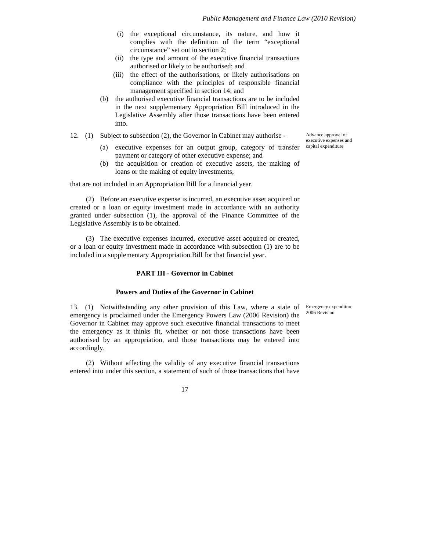- (i) the exceptional circumstance, its nature, and how it complies with the definition of the term "exceptional circumstance" set out in section 2;
- (ii) the type and amount of the executive financial transactions authorised or likely to be authorised; and
- (iii) the effect of the authorisations, or likely authorisations on compliance with the principles of responsible financial management specified in section 14; and
- (b) the authorised executive financial transactions are to be included in the next supplementary Appropriation Bill introduced in the Legislative Assembly after those transactions have been entered into.
- 12. (1) Subject to subsection (2), the Governor in Cabinet may authorise Advance approval of
	- (a) executive expenses for an output group, category of transfer capital expenditure payment or category of other executive expense; and
	- (b) the acquisition or creation of executive assets, the making of loans or the making of equity investments,

that are not included in an Appropriation Bill for a financial year.

 (2) Before an executive expense is incurred, an executive asset acquired or created or a loan or equity investment made in accordance with an authority granted under subsection (1), the approval of the Finance Committee of the Legislative Assembly is to be obtained.

 (3) The executive expenses incurred, executive asset acquired or created, or a loan or equity investment made in accordance with subsection (1) are to be included in a supplementary Appropriation Bill for that financial year.

### **PART III - Governor in Cabinet**

#### **Powers and Duties of the Governor in Cabinet**

Emergency expenditure 2006 Revision

13. (1) Notwithstanding any other provision of this Law, where a state of emergency is proclaimed under the Emergency Powers Law (2006 Revision) the Governor in Cabinet may approve such executive financial transactions to meet the emergency as it thinks fit, whether or not those transactions have been authorised by an appropriation, and those transactions may be entered into accordingly.

(2) Without affecting the validity of any executive financial transactions entered into under this section, a statement of such of those transactions that have

17

executive expenses and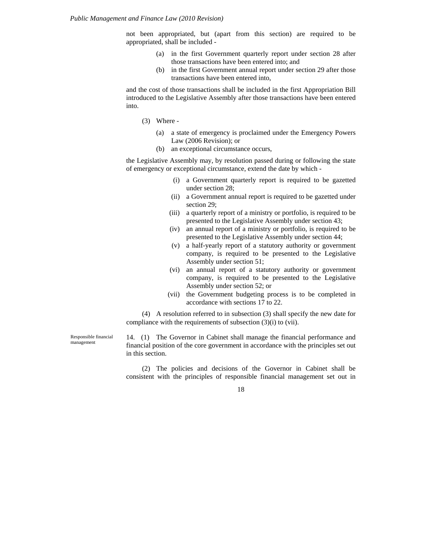not been appropriated, but (apart from this section) are required to be appropriated, shall be included -

- (a) in the first Government quarterly report under section 28 after those transactions have been entered into; and
- (b) in the first Government annual report under section 29 after those transactions have been entered into,

and the cost of those transactions shall be included in the first Appropriation Bill introduced to the Legislative Assembly after those transactions have been entered into.

- (3) Where
	- (a) a state of emergency is proclaimed under the Emergency Powers Law (2006 Revision); or
	- (b) an exceptional circumstance occurs,

the Legislative Assembly may, by resolution passed during or following the state of emergency or exceptional circumstance, extend the date by which -

- (i) a Government quarterly report is required to be gazetted under section 28;
- (ii) a Government annual report is required to be gazetted under section 29;
- (iii) a quarterly report of a ministry or portfolio, is required to be presented to the Legislative Assembly under section 43;
- (iv) an annual report of a ministry or portfolio, is required to be presented to the Legislative Assembly under section 44;
- (v) a half-yearly report of a statutory authority or government company, is required to be presented to the Legislative Assembly under section 51;
- (vi) an annual report of a statutory authority or government company, is required to be presented to the Legislative Assembly under section 52; or
- (vii) the Government budgeting process is to be completed in accordance with sections 17 to 22.

 (4) A resolution referred to in subsection (3) shall specify the new date for compliance with the requirements of subsection (3)(i) to (vii).

Responsible financial management

14. (1) The Governor in Cabinet shall manage the financial performance and financial position of the core government in accordance with the principles set out in this section.

(2) The policies and decisions of the Governor in Cabinet shall be consistent with the principles of responsible financial management set out in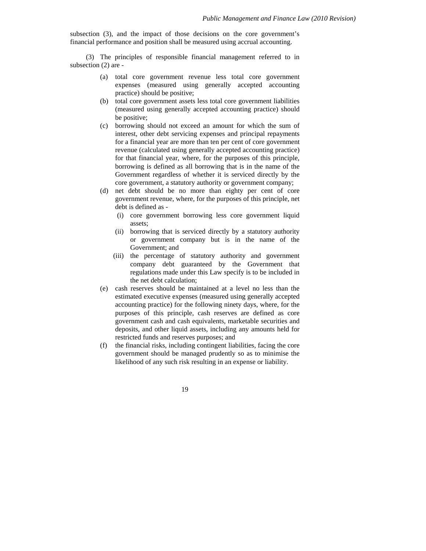subsection (3), and the impact of those decisions on the core government's financial performance and position shall be measured using accrual accounting.

 (3) The principles of responsible financial management referred to in subsection (2) are -

- (a) total core government revenue less total core government expenses (measured using generally accepted accounting practice) should be positive;
- (b) total core government assets less total core government liabilities (measured using generally accepted accounting practice) should be positive;
- (c) borrowing should not exceed an amount for which the sum of interest, other debt servicing expenses and principal repayments for a financial year are more than ten per cent of core government revenue (calculated using generally accepted accounting practice) for that financial year, where, for the purposes of this principle, borrowing is defined as all borrowing that is in the name of the Government regardless of whether it is serviced directly by the core government, a statutory authority or government company;
- (d) net debt should be no more than eighty per cent of core government revenue, where, for the purposes of this principle, net debt is defined as -
	- (i) core government borrowing less core government liquid assets;
	- (ii) borrowing that is serviced directly by a statutory authority or government company but is in the name of the Government; and
	- (iii) the percentage of statutory authority and government company debt guaranteed by the Government that regulations made under this Law specify is to be included in the net debt calculation;
- (e) cash reserves should be maintained at a level no less than the estimated executive expenses (measured using generally accepted accounting practice) for the following ninety days, where, for the purposes of this principle, cash reserves are defined as core government cash and cash equivalents, marketable securities and deposits, and other liquid assets, including any amounts held for restricted funds and reserves purposes; and
- (f) the financial risks, including contingent liabilities, facing the core government should be managed prudently so as to minimise the likelihood of any such risk resulting in an expense or liability.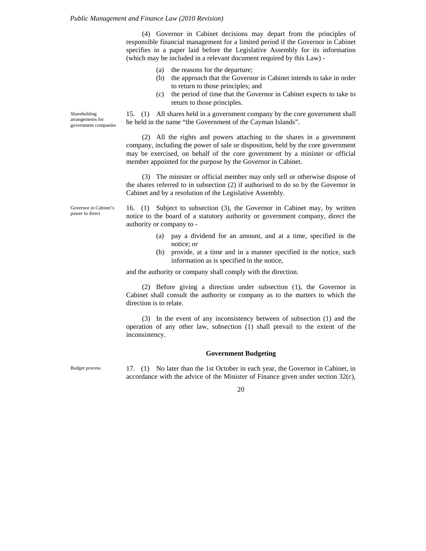#### *Public Management and Finance Law (2010 Revision)*

(4) Governor in Cabinet decisions may depart from the principles of responsible financial management for a limited period if the Governor in Cabinet specifies in a paper laid before the Legislative Assembly for its information (which may be included in a relevant document required by this Law) -

- (a) the reasons for the departure;
- (b) the approach that the Governor in Cabinet intends to take in order to return to those principles; and
- (c) the period of time that the Governor in Cabinet expects to take to return to those principles.

15. (1) All shares held in a government company by the core government shall be held in the name "the Government of the Cayman Islands".

(2) All the rights and powers attaching to the shares in a government company, including the power of sale or disposition, held by the core government may be exercised, on behalf of the core government by a minister or official member appointed for the purpose by the Governor in Cabinet.

 (3) The minister or official member may only sell or otherwise dispose of the shares referred to in subsection (2) if authorised to do so by the Governor in Cabinet and by a resolution of the Legislative Assembly.

Governor in Cabinet's power to direct

16. (1) Subject to subsection (3), the Governor in Cabinet may, by written notice to the board of a statutory authority or government company, direct the authority or company to -

- (a) pay a dividend for an amount, and at a time, specified in the notice; or
- (b) provide, at a time and in a manner specified in the notice, such information as is specified in the notice,

and the authority or company shall comply with the direction.

 (2) Before giving a direction under subsection (1), the Governor in Cabinet shall consult the authority or company as to the matters to which the direction is to relate.

 (3) In the event of any inconsistency between of subsection (1) and the operation of any other law, subsection (1) shall prevail to the extent of the inconsistency.

#### **Government Budgeting**

17. (1) No later than the 1st October in each year, the Governor in Cabinet, in accordance with the advice of the Minister of Finance given under section 32(c),

20

Shareholding arrangements for government companies

Budget process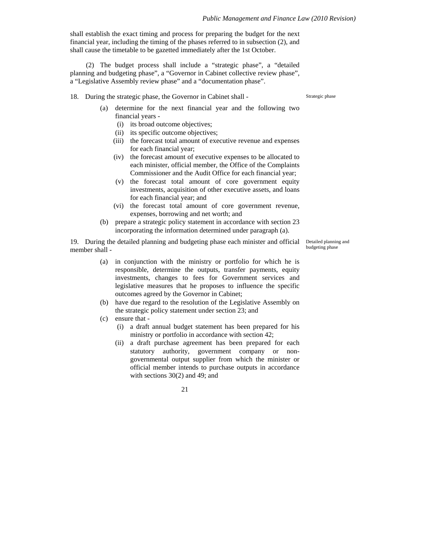shall establish the exact timing and process for preparing the budget for the next financial year, including the timing of the phases referred to in subsection (2), and shall cause the timetable to be gazetted immediately after the 1st October.

 (2) The budget process shall include a "strategic phase", a "detailed planning and budgeting phase", a "Governor in Cabinet collective review phase", a "Legislative Assembly review phase" and a "documentation phase".

- 18. During the strategic phase, the Governor in Cabinet shall Strategic phase
	- (a) determine for the next financial year and the following two financial years -
		- (i) its broad outcome objectives;
		- (ii) its specific outcome objectives;
		- (iii) the forecast total amount of executive revenue and expenses for each financial year;
		- (iv) the forecast amount of executive expenses to be allocated to each minister, official member, the Office of the Complaints Commissioner and the Audit Office for each financial year;
		- (v) the forecast total amount of core government equity investments, acquisition of other executive assets, and loans for each financial year; and
		- (vi) the forecast total amount of core government revenue, expenses, borrowing and net worth; and
	- (b) prepare a strategic policy statement in accordance with section 23 incorporating the information determined under paragraph (a).

19. During the detailed planning and budgeting phase each minister and official member shall -

- (a) in conjunction with the ministry or portfolio for which he is responsible, determine the outputs, transfer payments, equity investments, changes to fees for Government services and legislative measures that he proposes to influence the specific outcomes agreed by the Governor in Cabinet;
- (b) have due regard to the resolution of the Legislative Assembly on the strategic policy statement under section 23; and
- (c) ensure that
	- (i) a draft annual budget statement has been prepared for his ministry or portfolio in accordance with section 42;
	- (ii) a draft purchase agreement has been prepared for each statutory authority, government company or nongovernmental output supplier from which the minister or official member intends to purchase outputs in accordance with sections 30(2) and 49; and

21

Detailed planning and budgeting phase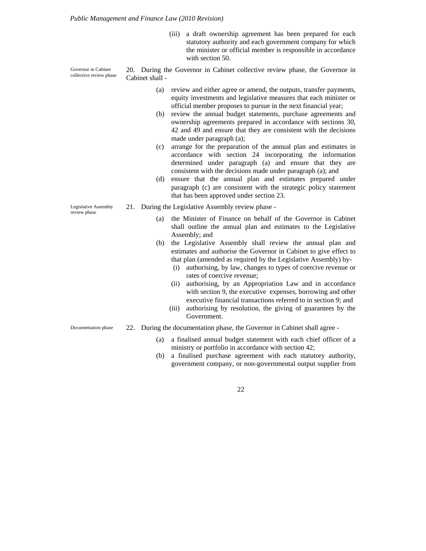(iii) a draft ownership agreement has been prepared for each statutory authority and each government company for which the minister or official member is responsible in accordance with section 50.

Governor in Cabinet collective review phase 20. During the Governor in Cabinet collective review phase, the Governor in Cabinet shall -

- (a) review and either agree or amend, the outputs, transfer payments, equity investments and legislative measures that each minister or official member proposes to pursue in the next financial year;
- (b) review the annual budget statements, purchase agreements and ownership agreements prepared in accordance with sections 30, 42 and 49 and ensure that they are consistent with the decisions made under paragraph (a);
- (c) arrange for the preparation of the annual plan and estimates in accordance with section 24 incorporating the information determined under paragraph (a) and ensure that they are consistent with the decisions made under paragraph (a); and
- (d) ensure that the annual plan and estimates prepared under paragraph (c) are consistent with the strategic policy statement that has been approved under section 23.

Legislative Assembly 21. During the Legislative Assembly review phase - review phase

- (a) the Minister of Finance on behalf of the Governor in Cabinet shall outline the annual plan and estimates to the Legislative Assembly; and
- (b) the Legislative Assembly shall review the annual plan and estimates and authorise the Governor in Cabinet to give effect to that plan (amended as required by the Legislative Assembly) by-
	- (i) authorising, by law, changes to types of coercive revenue or rates of coercive revenue;
	- (ii) authorising, by an Appropriation Law and in accordance with section 9, the executive expenses, borrowing and other executive financial transactions referred to in section 9; and
	- (iii) authorising by resolution, the giving of guarantees by the Government.
- Documentation phase 22. During the documentation phase, the Governor in Cabinet shall agree
	- (a) a finalised annual budget statement with each chief officer of a ministry or portfolio in accordance with section 42;
	- (b) a finalised purchase agreement with each statutory authority, government company, or non-governmental output supplier from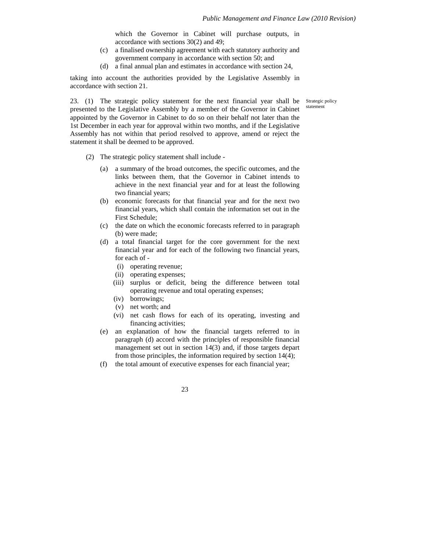which the Governor in Cabinet will purchase outputs, in accordance with sections 30(2) and 49;

- (c) a finalised ownership agreement with each statutory authority and government company in accordance with section 50; and
- (d) a final annual plan and estimates in accordance with section 24,

taking into account the authorities provided by the Legislative Assembly in accordance with section 21.

> Strategic policy statement

23. (1) The strategic policy statement for the next financial year shall be presented to the Legislative Assembly by a member of the Governor in Cabinet appointed by the Governor in Cabinet to do so on their behalf not later than the 1st December in each year for approval within two months, and if the Legislative Assembly has not within that period resolved to approve, amend or reject the statement it shall be deemed to be approved.

- (2) The strategic policy statement shall include
	- (a) a summary of the broad outcomes, the specific outcomes, and the links between them, that the Governor in Cabinet intends to achieve in the next financial year and for at least the following two financial years;
	- (b) economic forecasts for that financial year and for the next two financial years, which shall contain the information set out in the First Schedule;
	- (c) the date on which the economic forecasts referred to in paragraph (b) were made;
	- (d) a total financial target for the core government for the next financial year and for each of the following two financial years, for each of -
		- (i) operating revenue;
		- (ii) operating expenses;
		- (iii) surplus or deficit, being the difference between total operating revenue and total operating expenses;
		- (iv) borrowings;
		- (v) net worth; and
		- (vi) net cash flows for each of its operating, investing and financing activities;
	- (e) an explanation of how the financial targets referred to in paragraph (d) accord with the principles of responsible financial management set out in section 14(3) and, if those targets depart from those principles, the information required by section 14(4);
	- (f) the total amount of executive expenses for each financial year;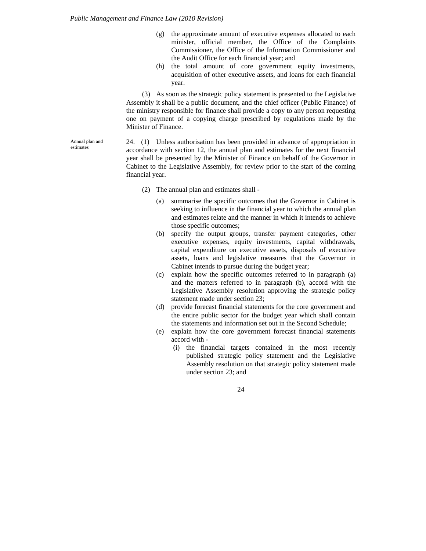Annual plan and estimates

- (g) the approximate amount of executive expenses allocated to each minister, official member, the Office of the Complaints Commissioner, the Office of the Information Commissioner and the Audit Office for each financial year; and
- (h) the total amount of core government equity investments, acquisition of other executive assets, and loans for each financial year.

 (3) As soon as the strategic policy statement is presented to the Legislative Assembly it shall be a public document, and the chief officer (Public Finance) of the ministry responsible for finance shall provide a copy to any person requesting one on payment of a copying charge prescribed by regulations made by the Minister of Finance.

24. (1) Unless authorisation has been provided in advance of appropriation in accordance with section 12, the annual plan and estimates for the next financial year shall be presented by the Minister of Finance on behalf of the Governor in Cabinet to the Legislative Assembly, for review prior to the start of the coming financial year.

- (2) The annual plan and estimates shall
	- (a) summarise the specific outcomes that the Governor in Cabinet is seeking to influence in the financial year to which the annual plan and estimates relate and the manner in which it intends to achieve those specific outcomes;
	- (b) specify the output groups, transfer payment categories, other executive expenses, equity investments, capital withdrawals, capital expenditure on executive assets, disposals of executive assets, loans and legislative measures that the Governor in Cabinet intends to pursue during the budget year;
	- (c) explain how the specific outcomes referred to in paragraph (a) and the matters referred to in paragraph (b), accord with the Legislative Assembly resolution approving the strategic policy statement made under section 23;
	- (d) provide forecast financial statements for the core government and the entire public sector for the budget year which shall contain the statements and information set out in the Second Schedule;
	- (e) explain how the core government forecast financial statements accord with -
		- (i) the financial targets contained in the most recently published strategic policy statement and the Legislative Assembly resolution on that strategic policy statement made under section 23; and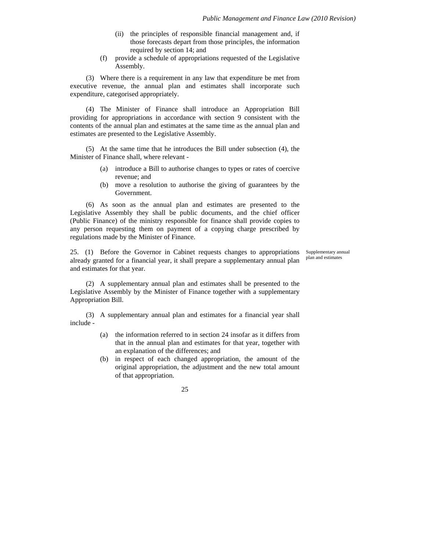- (ii) the principles of responsible financial management and, if those forecasts depart from those principles, the information required by section 14; and
- (f) provide a schedule of appropriations requested of the Legislative Assembly.

 (3) Where there is a requirement in any law that expenditure be met from executive revenue, the annual plan and estimates shall incorporate such expenditure, categorised appropriately.

 (4) The Minister of Finance shall introduce an Appropriation Bill providing for appropriations in accordance with section 9 consistent with the contents of the annual plan and estimates at the same time as the annual plan and estimates are presented to the Legislative Assembly.

 (5) At the same time that he introduces the Bill under subsection (4), the Minister of Finance shall, where relevant -

- (a) introduce a Bill to authorise changes to types or rates of coercive revenue; and
- (b) move a resolution to authorise the giving of guarantees by the Government.

 (6) As soon as the annual plan and estimates are presented to the Legislative Assembly they shall be public documents, and the chief officer (Public Finance) of the ministry responsible for finance shall provide copies to any person requesting them on payment of a copying charge prescribed by regulations made by the Minister of Finance.

25. (1) Before the Governor in Cabinet requests changes to appropriations already granted for a financial year, it shall prepare a supplementary annual plan and estimates for that year.

Supplementary annual plan and estimates

(2) A supplementary annual plan and estimates shall be presented to the Legislative Assembly by the Minister of Finance together with a supplementary Appropriation Bill.

 (3) A supplementary annual plan and estimates for a financial year shall include -

- (a) the information referred to in section 24 insofar as it differs from that in the annual plan and estimates for that year, together with an explanation of the differences; and
- (b) in respect of each changed appropriation, the amount of the original appropriation, the adjustment and the new total amount of that appropriation.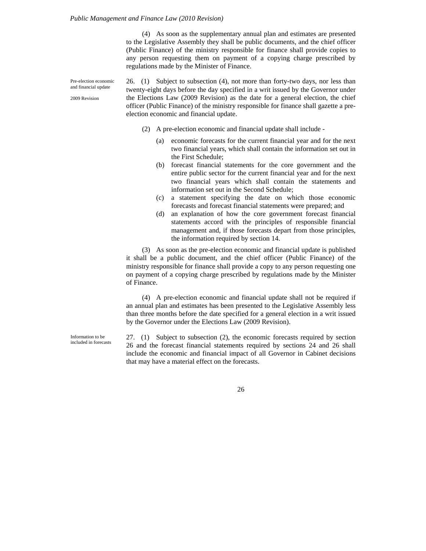(4) As soon as the supplementary annual plan and estimates are presented to the Legislative Assembly they shall be public documents, and the chief officer (Public Finance) of the ministry responsible for finance shall provide copies to any person requesting them on payment of a copying charge prescribed by regulations made by the Minister of Finance.

Pre-election economic and financial update

2009 Revision

26. (1) Subject to subsection (4), not more than forty-two days, nor less than twenty-eight days before the day specified in a writ issued by the Governor under the Elections Law (2009 Revision) as the date for a general election, the chief officer (Public Finance) of the ministry responsible for finance shall gazette a preelection economic and financial update.

- (2) A pre-election economic and financial update shall include
	- (a) economic forecasts for the current financial year and for the next two financial years, which shall contain the information set out in the First Schedule;
	- (b) forecast financial statements for the core government and the entire public sector for the current financial year and for the next two financial years which shall contain the statements and information set out in the Second Schedule;
	- (c) a statement specifying the date on which those economic forecasts and forecast financial statements were prepared; and
	- (d) an explanation of how the core government forecast financial statements accord with the principles of responsible financial management and, if those forecasts depart from those principles, the information required by section 14.

 (3) As soon as the pre-election economic and financial update is published it shall be a public document, and the chief officer (Public Finance) of the ministry responsible for finance shall provide a copy to any person requesting one on payment of a copying charge prescribed by regulations made by the Minister of Finance.

 (4) A pre-election economic and financial update shall not be required if an annual plan and estimates has been presented to the Legislative Assembly less than three months before the date specified for a general election in a writ issued by the Governor under the Elections Law (2009 Revision).

Information to be included in forecasts 27. (1) Subject to subsection (2), the economic forecasts required by section 26 and the forecast financial statements required by sections 24 and 26 shall include the economic and financial impact of all Governor in Cabinet decisions that may have a material effect on the forecasts.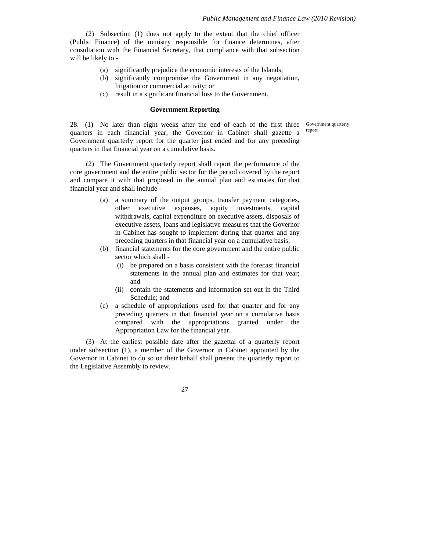(2) Subsection (1) does not apply to the extent that the chief officer (Public Finance) of the ministry responsible for finance determines, after consultation with the Financial Secretary, that compliance with that subsection will be likely to -

- (a) significantly prejudice the economic interests of the Islands;
- (b) significantly compromise the Government in any negotiation, litigation or commercial activity; or
- (c) result in a significant financial loss to the Government.

#### **Government Reporting**

report

28. (1) No later than eight weeks after the end of each of the first three Government quarterly quarters in each financial year, the Governor in Cabinet shall gazette a Government quarterly report for the quarter just ended and for any preceding quarters in that financial year on a cumulative basis.

(2) The Government quarterly report shall report the performance of the core government and the entire public sector for the period covered by the report and compare it with that proposed in the annual plan and estimates for that financial year and shall include -

- (a) a summary of the output groups, transfer payment categories, other executive expenses, equity investments, capital withdrawals, capital expenditure on executive assets, disposals of executive assets, loans and legislative measures that the Governor in Cabinet has sought to implement during that quarter and any preceding quarters in that financial year on a cumulative basis;
- (b) financial statements for the core government and the entire public sector which shall -
	- (i) be prepared on a basis consistent with the forecast financial statements in the annual plan and estimates for that year; and
	- (ii) contain the statements and information set out in the Third Schedule; and
- (c) a schedule of appropriations used for that quarter and for any preceding quarters in that financial year on a cumulative basis compared with the appropriations granted under the Appropriation Law for the financial year.

 (3) At the earliest possible date after the gazettal of a quarterly report under subsection (1), a member of the Governor in Cabinet appointed by the Governor in Cabinet to do so on their behalf shall present the quarterly report to the Legislative Assembly to review.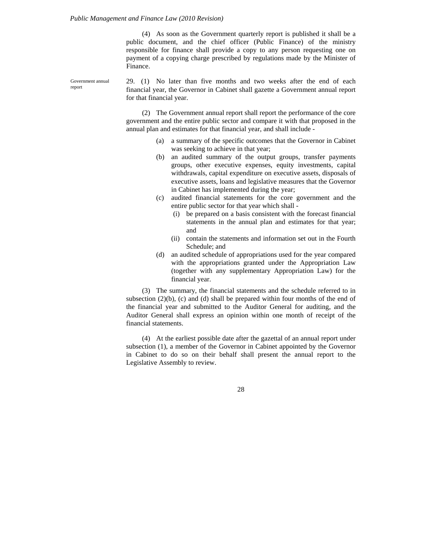#### *Public Management and Finance Law (2010 Revision)*

(4) As soon as the Government quarterly report is published it shall be a public document, and the chief officer (Public Finance) of the ministry responsible for finance shall provide a copy to any person requesting one on payment of a copying charge prescribed by regulations made by the Minister of Finance.

Government annual report

29. (1) No later than five months and two weeks after the end of each financial year, the Governor in Cabinet shall gazette a Government annual report for that financial year.

(2) The Government annual report shall report the performance of the core government and the entire public sector and compare it with that proposed in the annual plan and estimates for that financial year, and shall include -

- (a) a summary of the specific outcomes that the Governor in Cabinet was seeking to achieve in that year;
- (b) an audited summary of the output groups, transfer payments groups, other executive expenses, equity investments, capital withdrawals, capital expenditure on executive assets, disposals of executive assets, loans and legislative measures that the Governor in Cabinet has implemented during the year;
- (c) audited financial statements for the core government and the entire public sector for that year which shall -
	- (i) be prepared on a basis consistent with the forecast financial statements in the annual plan and estimates for that year; and
	- (ii) contain the statements and information set out in the Fourth Schedule; and
- (d) an audited schedule of appropriations used for the year compared with the appropriations granted under the Appropriation Law (together with any supplementary Appropriation Law) for the financial year.

 (3) The summary, the financial statements and the schedule referred to in subsection  $(2)(b)$ ,  $(c)$  and  $(d)$  shall be prepared within four months of the end of the financial year and submitted to the Auditor General for auditing, and the Auditor General shall express an opinion within one month of receipt of the financial statements.

 (4) At the earliest possible date after the gazettal of an annual report under subsection (1), a member of the Governor in Cabinet appointed by the Governor in Cabinet to do so on their behalf shall present the annual report to the Legislative Assembly to review.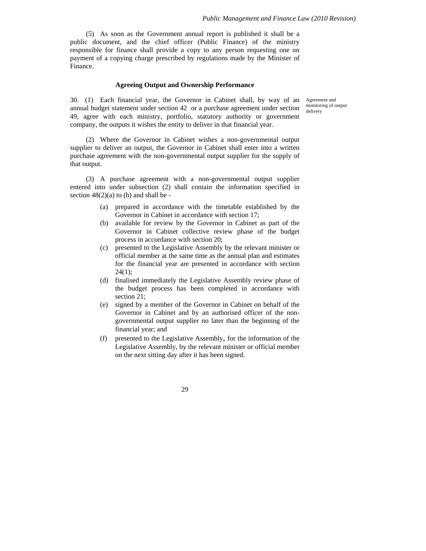(5) As soon as the Government annual report is published it shall be a public document, and the chief officer (Public Finance) of the ministry responsible for finance shall provide a copy to any person requesting one on payment of a copying charge prescribed by regulations made by the Minister of Finance.

## **Agreeing Output and Ownership Performance**

30. (1) Each financial year, the Governor in Cabinet shall, by way of an annual budget statement under section 42 or a purchase agreement under section 49, agree with each ministry, portfolio, statutory authority or government company, the outputs it wishes the entity to deliver in that financial year.

Agreement and monitoring of output delivery

(2) Where the Governor in Cabinet wishes a non-governmental output supplier to deliver an output, the Governor in Cabinet shall enter into a written purchase agreement with the non-governmental output supplier for the supply of that output.

 (3) A purchase agreement with a non-governmental output supplier entered into under subsection (2) shall contain the information specified in section 48(2)(a) to (h) and shall be -

- (a) prepared in accordance with the timetable established by the Governor in Cabinet in accordance with section 17;
- (b) available for review by the Governor in Cabinet as part of the Governor in Cabinet collective review phase of the budget process in accordance with section 20;
- (c) presented to the Legislative Assembly by the relevant minister or official member at the same time as the annual plan and estimates for the financial year are presented in accordance with section  $24(1);$
- (d) finalised immediately the Legislative Assembly review phase of the budget process has been completed in accordance with section 21;
- (e) signed by a member of the Governor in Cabinet on behalf of the Governor in Cabinet and by an authorised officer of the nongovernmental output supplier no later than the beginning of the financial year; and
- (f) presented to the Legislative Assembly, for the information of the Legislative Assembly, by the relevant minister or official member on the next sitting day after it has been signed.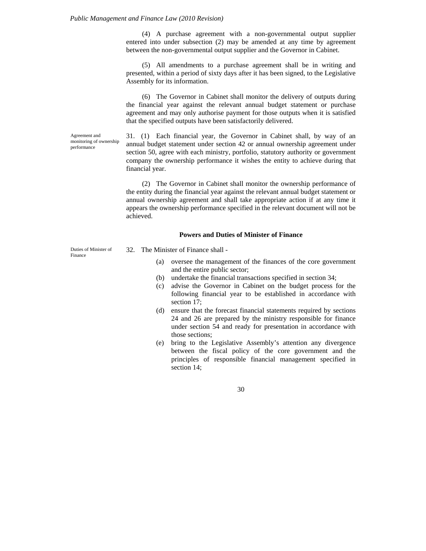(4) A purchase agreement with a non-governmental output supplier entered into under subsection (2) may be amended at any time by agreement between the non-governmental output supplier and the Governor in Cabinet.

 (5) All amendments to a purchase agreement shall be in writing and presented, within a period of sixty days after it has been signed, to the Legislative Assembly for its information.

 (6) The Governor in Cabinet shall monitor the delivery of outputs during the financial year against the relevant annual budget statement or purchase agreement and may only authorise payment for those outputs when it is satisfied that the specified outputs have been satisfactorily delivered.

Agreement and monitoring of ownership performance

31. (1) Each financial year, the Governor in Cabinet shall, by way of an annual budget statement under section 42 or annual ownership agreement under section 50, agree with each ministry, portfolio, statutory authority or government company the ownership performance it wishes the entity to achieve during that financial year.

(2) The Governor in Cabinet shall monitor the ownership performance of the entity during the financial year against the relevant annual budget statement or annual ownership agreement and shall take appropriate action if at any time it appears the ownership performance specified in the relevant document will not be achieved.

#### **Powers and Duties of Minister of Finance**

Finance

- Duties of Minister of 32. The Minister of Finance shall
	- (a) oversee the management of the finances of the core government and the entire public sector;
	- (b) undertake the financial transactions specified in section 34;
	- (c) advise the Governor in Cabinet on the budget process for the following financial year to be established in accordance with section 17;
	- (d) ensure that the forecast financial statements required by sections 24 and 26 are prepared by the ministry responsible for finance under section 54 and ready for presentation in accordance with those sections;
	- (e) bring to the Legislative Assembly's attention any divergence between the fiscal policy of the core government and the principles of responsible financial management specified in section 14;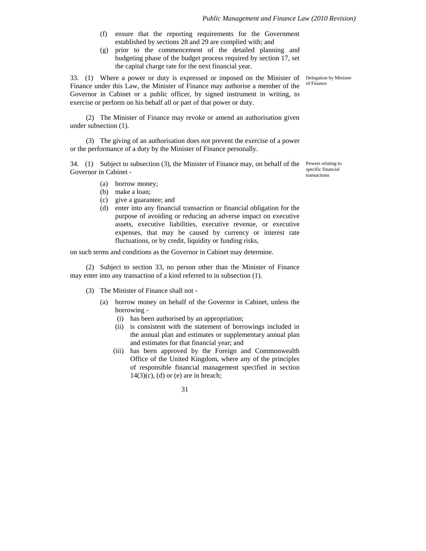- (f) ensure that the reporting requirements for the Government established by sections 28 and 29 are complied with; and
- (g) prior to the commencement of the detailed planning and budgeting phase of the budget process required by section 17, set the capital charge rate for the next financial year.

33. (1) Where a power or duty is expressed or imposed on the Minister of Finance under this Law, the Minister of Finance may authorise a member of the Governor in Cabinet or a public officer, by signed instrument in writing, to exercise or perform on his behalf all or part of that power or duty.

(2) The Minister of Finance may revoke or amend an authorisation given under subsection (1).

 (3) The giving of an authorisation does not prevent the exercise of a power or the performance of a duty by the Minister of Finance personally.

34. (1) Subject to subsection (3), the Minister of Finance may, on behalf of the Powers relating to Governor in Cabinet -

- (a) borrow money;
- (b) make a loan;
- (c) give a guarantee; and
- (d) enter into any financial transaction or financial obligation for the purpose of avoiding or reducing an adverse impact on executive assets, executive liabilities, executive revenue, or executive expenses, that may be caused by currency or interest rate fluctuations, or by credit, liquidity or funding risks,

on such terms and conditions as the Governor in Cabinet may determine.

 (2) Subject to section 33, no person other than the Minister of Finance may enter into any transaction of a kind referred to in subsection (1).

- (3) The Minister of Finance shall not
	- (a) borrow money on behalf of the Governor in Cabinet, unless the borrowing -
		- (i) has been authorised by an appropriation;
		- (ii) is consistent with the statement of borrowings included in the annual plan and estimates or supplementary annual plan and estimates for that financial year; and
		- (iii) has been approved by the Foreign and Commonwealth Office of the United Kingdom, where any of the principles of responsible financial management specified in section  $14(3)(c)$ , (d) or (e) are in breach;

31

Delegation by Minister of Finance

specific financial transactions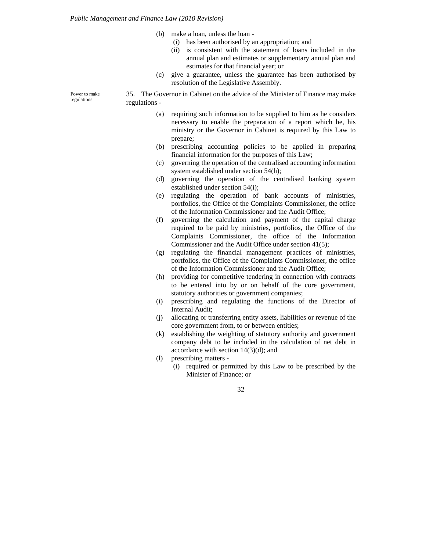- (b) make a loan, unless the loan
	- (i) has been authorised by an appropriation; and
	- (ii) is consistent with the statement of loans included in the annual plan and estimates or supplementary annual plan and estimates for that financial year; or
- (c) give a guarantee, unless the guarantee has been authorised by resolution of the Legislative Assembly.

35. The Governor in Cabinet on the advice of the Minister of Finance may make regulations -

- (a) requiring such information to be supplied to him as he considers necessary to enable the preparation of a report which he, his ministry or the Governor in Cabinet is required by this Law to prepare;
- (b) prescribing accounting policies to be applied in preparing financial information for the purposes of this Law;
- (c) governing the operation of the centralised accounting information system established under section 54(h);
- (d) governing the operation of the centralised banking system established under section 54(i);
- (e) regulating the operation of bank accounts of ministries, portfolios, the Office of the Complaints Commissioner, the office of the Information Commissioner and the Audit Office;
- (f) governing the calculation and payment of the capital charge required to be paid by ministries, portfolios, the Office of the Complaints Commissioner, the office of the Information Commissioner and the Audit Office under section 41(5);
- (g) regulating the financial management practices of ministries, portfolios, the Office of the Complaints Commissioner, the office of the Information Commissioner and the Audit Office;
- (h) providing for competitive tendering in connection with contracts to be entered into by or on behalf of the core government, statutory authorities or government companies;
- (i) prescribing and regulating the functions of the Director of Internal Audit;
- (j) allocating or transferring entity assets, liabilities or revenue of the core government from, to or between entities;
- (k) establishing the weighting of statutory authority and government company debt to be included in the calculation of net debt in accordance with section 14(3)(d); and
- (l) prescribing matters
	- (i) required or permitted by this Law to be prescribed by the Minister of Finance; or

32

Power to make regulations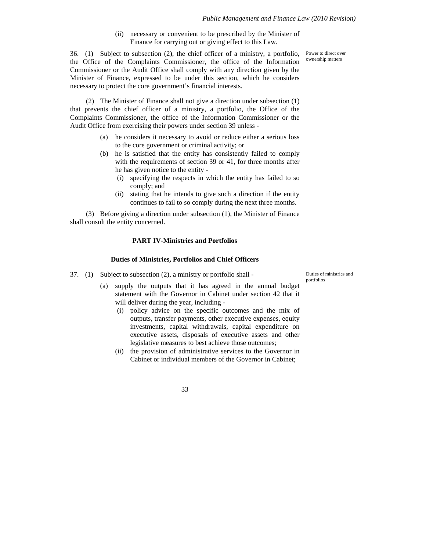(ii) necessary or convenient to be prescribed by the Minister of Finance for carrying out or giving effect to this Law.

36. (1) Subject to subsection (2), the chief officer of a ministry, a portfolio, the Office of the Complaints Commissioner, the office of the Information Commissioner or the Audit Office shall comply with any direction given by the Minister of Finance, expressed to be under this section, which he considers necessary to protect the core government's financial interests.

(2) The Minister of Finance shall not give a direction under subsection (1) that prevents the chief officer of a ministry, a portfolio, the Office of the Complaints Commissioner, the office of the Information Commissioner or the Audit Office from exercising their powers under section 39 unless -

- (a) he considers it necessary to avoid or reduce either a serious loss to the core government or criminal activity; or
- (b) he is satisfied that the entity has consistently failed to comply with the requirements of section 39 or 41, for three months after he has given notice to the entity -
	- (i) specifying the respects in which the entity has failed to so comply; and
	- (ii) stating that he intends to give such a direction if the entity continues to fail to so comply during the next three months.

 (3) Before giving a direction under subsection (1), the Minister of Finance shall consult the entity concerned.

## **PART IV-Ministries and Portfolios**

### **Duties of Ministries, Portfolios and Chief Officers**

37. (1) Subject to subsection (2), a ministry or portfolio shall - Duties of ministries and

portfolios

- (a) supply the outputs that it has agreed in the annual budget statement with the Governor in Cabinet under section 42 that it will deliver during the year, including -
	- (i) policy advice on the specific outcomes and the mix of outputs, transfer payments, other executive expenses, equity investments, capital withdrawals, capital expenditure on executive assets, disposals of executive assets and other legislative measures to best achieve those outcomes;
	- (ii) the provision of administrative services to the Governor in Cabinet or individual members of the Governor in Cabinet;

33

Power to direct over ownership matters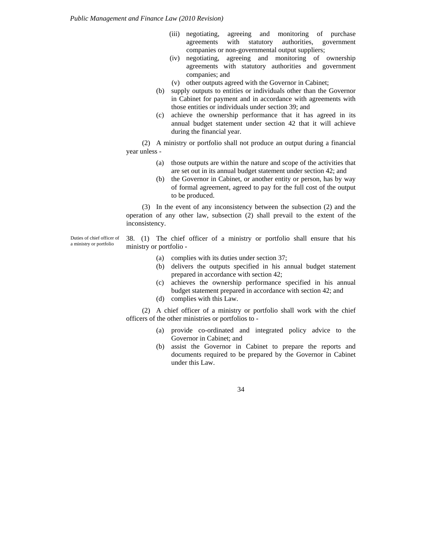- (iii) negotiating, agreeing and monitoring of purchase agreements with statutory authorities, government companies or non-governmental output suppliers;
- (iv) negotiating, agreeing and monitoring of ownership agreements with statutory authorities and government companies; and
- (v) other outputs agreed with the Governor in Cabinet;
- (b) supply outputs to entities or individuals other than the Governor in Cabinet for payment and in accordance with agreements with those entities or individuals under section 39; and
- (c) achieve the ownership performance that it has agreed in its annual budget statement under section 42 that it will achieve during the financial year.

 (2) A ministry or portfolio shall not produce an output during a financial year unless -

- (a) those outputs are within the nature and scope of the activities that are set out in its annual budget statement under section 42; and
- (b) the Governor in Cabinet, or another entity or person, has by way of formal agreement, agreed to pay for the full cost of the output to be produced.

 (3) In the event of any inconsistency between the subsection (2) and the operation of any other law, subsection (2) shall prevail to the extent of the inconsistency.

Duties of chief officer of a ministry or portfolio

38. (1) The chief officer of a ministry or portfolio shall ensure that his ministry or portfolio -

- (a) complies with its duties under section 37;
- (b) delivers the outputs specified in his annual budget statement prepared in accordance with section 42;
- (c) achieves the ownership performance specified in his annual budget statement prepared in accordance with section 42; and
- (d) complies with this Law.

 (2) A chief officer of a ministry or portfolio shall work with the chief officers of the other ministries or portfolios to -

- (a) provide co-ordinated and integrated policy advice to the Governor in Cabinet; and
- (b) assist the Governor in Cabinet to prepare the reports and documents required to be prepared by the Governor in Cabinet under this Law.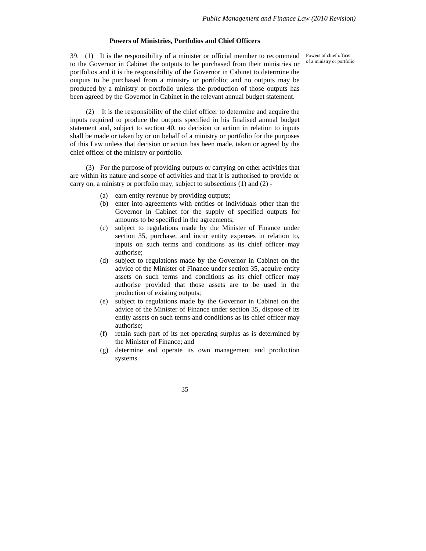### **Powers of Ministries, Portfolios and Chief Officers**

39. (1) It is the responsibility of a minister or official member to recommend Powers of chief officer to the Governor in Cabinet the outputs to be purchased from their ministries or portfolios and it is the responsibility of the Governor in Cabinet to determine the outputs to be purchased from a ministry or portfolio; and no outputs may be produced by a ministry or portfolio unless the production of those outputs has been agreed by the Governor in Cabinet in the relevant annual budget statement.

(2) It is the responsibility of the chief officer to determine and acquire the inputs required to produce the outputs specified in his finalised annual budget statement and, subject to section 40, no decision or action in relation to inputs shall be made or taken by or on behalf of a ministry or portfolio for the purposes of this Law unless that decision or action has been made, taken or agreed by the chief officer of the ministry or portfolio.

 (3) For the purpose of providing outputs or carrying on other activities that are within its nature and scope of activities and that it is authorised to provide or carry on, a ministry or portfolio may, subject to subsections (1) and (2) -

- (a) earn entity revenue by providing outputs;
- (b) enter into agreements with entities or individuals other than the Governor in Cabinet for the supply of specified outputs for amounts to be specified in the agreements;
- (c) subject to regulations made by the Minister of Finance under section 35, purchase, and incur entity expenses in relation to, inputs on such terms and conditions as its chief officer may authorise;
- (d) subject to regulations made by the Governor in Cabinet on the advice of the Minister of Finance under section 35, acquire entity assets on such terms and conditions as its chief officer may authorise provided that those assets are to be used in the production of existing outputs;
- (e) subject to regulations made by the Governor in Cabinet on the advice of the Minister of Finance under section 35, dispose of its entity assets on such terms and conditions as its chief officer may authorise;
- (f) retain such part of its net operating surplus as is determined by the Minister of Finance; and
- (g) determine and operate its own management and production systems.

35

of a ministry or portfolio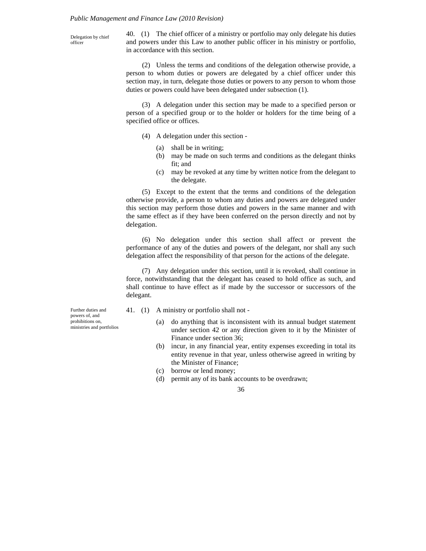#### *Public Management and Finance Law (2010 Revision)*

Delegation by chief officer

40. (1) The chief officer of a ministry or portfolio may only delegate his duties and powers under this Law to another public officer in his ministry or portfolio, in accordance with this section.

(2) Unless the terms and conditions of the delegation otherwise provide, a person to whom duties or powers are delegated by a chief officer under this section may, in turn, delegate those duties or powers to any person to whom those duties or powers could have been delegated under subsection (1).

 (3) A delegation under this section may be made to a specified person or person of a specified group or to the holder or holders for the time being of a specified office or offices.

- (4) A delegation under this section
	- (a) shall be in writing;
	- (b) may be made on such terms and conditions as the delegant thinks fit; and
	- (c) may be revoked at any time by written notice from the delegant to the delegate.

 (5) Except to the extent that the terms and conditions of the delegation otherwise provide, a person to whom any duties and powers are delegated under this section may perform those duties and powers in the same manner and with the same effect as if they have been conferred on the person directly and not by delegation.

 (6) No delegation under this section shall affect or prevent the performance of any of the duties and powers of the delegant, nor shall any such delegation affect the responsibility of that person for the actions of the delegate.

 (7) Any delegation under this section, until it is revoked, shall continue in force, notwithstanding that the delegant has ceased to hold office as such, and shall continue to have effect as if made by the successor or successors of the delegant.

powers of, and prohibitions on, ministries and portfolios

- Further duties and 41. (1) A ministry or portfolio shall not -
	- (a) do anything that is inconsistent with its annual budget statement under section 42 or any direction given to it by the Minister of Finance under section 36;
	- (b) incur, in any financial year, entity expenses exceeding in total its entity revenue in that year, unless otherwise agreed in writing by the Minister of Finance;
	- (c) borrow or lend money;
	- (d) permit any of its bank accounts to be overdrawn;

<sup>36</sup>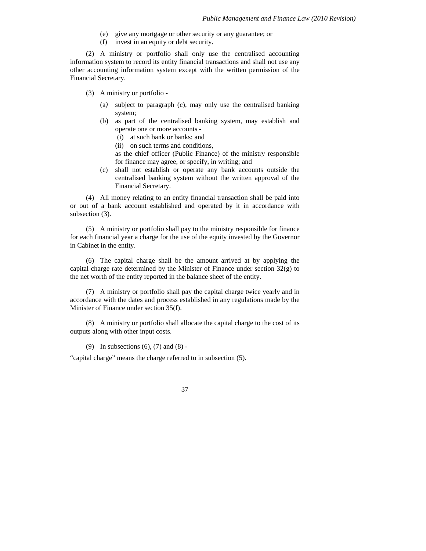- (e) give any mortgage or other security or any guarantee; or
- (f) invest in an equity or debt security.

 (2) A ministry or portfolio shall only use the centralised accounting information system to record its entity financial transactions and shall not use any other accounting information system except with the written permission of the Financial Secretary.

- (3) A ministry or portfolio
	- (a*)* subject to paragraph (c), may only use the centralised banking system;
	- (b) as part of the centralised banking system, may establish and operate one or more accounts -
		- (i) at such bank or banks; and
		- (ii) on such terms and conditions,

as the chief officer (Public Finance) of the ministry responsible for finance may agree, or specify, in writing; and

(c) shall not establish or operate any bank accounts outside the centralised banking system without the written approval of the Financial Secretary.

 (4) All money relating to an entity financial transaction shall be paid into or out of a bank account established and operated by it in accordance with subsection (3).

 (5) A ministry or portfolio shall pay to the ministry responsible for finance for each financial year a charge for the use of the equity invested by the Governor in Cabinet in the entity.

 (6) The capital charge shall be the amount arrived at by applying the capital charge rate determined by the Minister of Finance under section  $32(g)$  to the net worth of the entity reported in the balance sheet of the entity.

 (7) A ministry or portfolio shall pay the capital charge twice yearly and in accordance with the dates and process established in any regulations made by the Minister of Finance under section 35(f).

 (8) A ministry or portfolio shall allocate the capital charge to the cost of its outputs along with other input costs.

(9) In subsections (6), (7) and (8) -

"capital charge" means the charge referred to in subsection (5).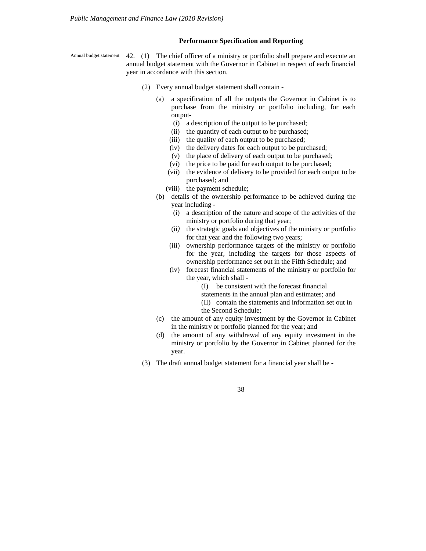## **Performance Specification and Reporting**

Annual budget statement

42. (1) The chief officer of a ministry or portfolio shall prepare and execute an annual budget statement with the Governor in Cabinet in respect of each financial year in accordance with this section.

- (2) Every annual budget statement shall contain
	- (a) a specification of all the outputs the Governor in Cabinet is to purchase from the ministry or portfolio including, for each output-
		- (i) a description of the output to be purchased;
		- (ii) the quantity of each output to be purchased;
		- (iii) the quality of each output to be purchased;
		- (iv) the delivery dates for each output to be purchased;
		- (v) the place of delivery of each output to be purchased;
		- (vi) the price to be paid for each output to be purchased;
		- (vii) the evidence of delivery to be provided for each output to be purchased; and
		- (viii) the payment schedule;
	- (b) details of the ownership performance to be achieved during the year including -
		- (i) a description of the nature and scope of the activities of the ministry or portfolio during that year;
		- (ii*)* the strategic goals and objectives of the ministry or portfolio for that year and the following two years;
		- (iii) ownership performance targets of the ministry or portfolio for the year, including the targets for those aspects of ownership performance set out in the Fifth Schedule; and
		- (iv) forecast financial statements of the ministry or portfolio for the year, which shall -
			- (I) be consistent with the forecast financial
			- statements in the annual plan and estimates; and
			- (II) contain the statements and information set out in the Second Schedule;
	- (c) the amount of any equity investment by the Governor in Cabinet in the ministry or portfolio planned for the year; and
	- (d) the amount of any withdrawal of any equity investment in the ministry or portfolio by the Governor in Cabinet planned for the year.
- (3) The draft annual budget statement for a financial year shall be -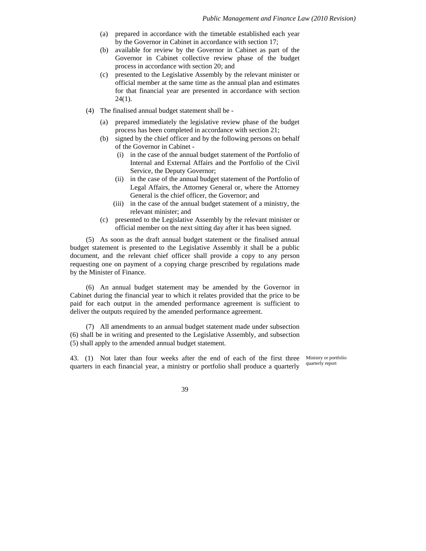- (a) prepared in accordance with the timetable established each year by the Governor in Cabinet in accordance with section 17;
- (b) available for review by the Governor in Cabinet as part of the Governor in Cabinet collective review phase of the budget process in accordance with section 20; and
- (c) presented to the Legislative Assembly by the relevant minister or official member at the same time as the annual plan and estimates for that financial year are presented in accordance with section  $24(1)$ .
- (4) The finalised annual budget statement shall be
	- (a) prepared immediately the legislative review phase of the budget process has been completed in accordance with section 21;
	- (b) signed by the chief officer and by the following persons on behalf of the Governor in Cabinet -
		- (i) in the case of the annual budget statement of the Portfolio of Internal and External Affairs and the Portfolio of the Civil Service, the Deputy Governor;
		- (ii) in the case of the annual budget statement of the Portfolio of Legal Affairs, the Attorney General or, where the Attorney General is the chief officer, the Governor; and
		- (iii) in the case of the annual budget statement of a ministry, the relevant minister; and
	- (c) presented to the Legislative Assembly by the relevant minister or official member on the next sitting day after it has been signed.

 (5) As soon as the draft annual budget statement or the finalised annual budget statement is presented to the Legislative Assembly it shall be a public document, and the relevant chief officer shall provide a copy to any person requesting one on payment of a copying charge prescribed by regulations made by the Minister of Finance.

 (6) An annual budget statement may be amended by the Governor in Cabinet during the financial year to which it relates provided that the price to be paid for each output in the amended performance agreement is sufficient to deliver the outputs required by the amended performance agreement.

 (7) All amendments to an annual budget statement made under subsection (6) shall be in writing and presented to the Legislative Assembly, and subsection (5) shall apply to the amended annual budget statement.

43. (1) Not later than four weeks after the end of each of the first three quarters in each financial year, a ministry or portfolio shall produce a quarterly

Ministry or portfolio quarterly report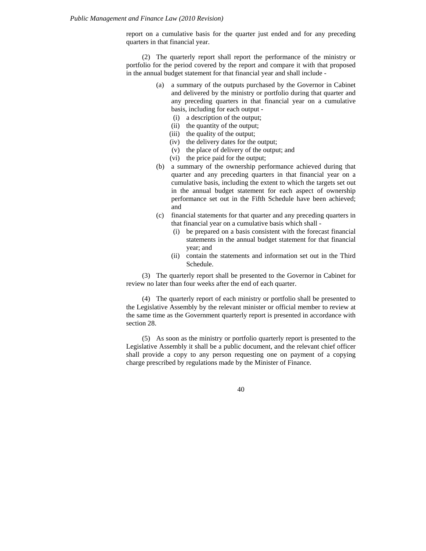report on a cumulative basis for the quarter just ended and for any preceding quarters in that financial year.

 (2) The quarterly report shall report the performance of the ministry or portfolio for the period covered by the report and compare it with that proposed in the annual budget statement for that financial year and shall include -

- (a) a summary of the outputs purchased by the Governor in Cabinet and delivered by the ministry or portfolio during that quarter and any preceding quarters in that financial year on a cumulative basis, including for each output -
	- (i) a description of the output;
	- (ii) the quantity of the output;
	- (iii) the quality of the output;
	- (iv) the delivery dates for the output;
	- (v) the place of delivery of the output; and
	- (vi) the price paid for the output;
- (b) a summary of the ownership performance achieved during that quarter and any preceding quarters in that financial year on a cumulative basis, including the extent to which the targets set out in the annual budget statement for each aspect of ownership performance set out in the Fifth Schedule have been achieved; and
- (c) financial statements for that quarter and any preceding quarters in that financial year on a cumulative basis which shall -
	- (i) be prepared on a basis consistent with the forecast financial statements in the annual budget statement for that financial year; and
	- (ii) contain the statements and information set out in the Third Schedule.

 (3) The quarterly report shall be presented to the Governor in Cabinet for review no later than four weeks after the end of each quarter.

 (4) The quarterly report of each ministry or portfolio shall be presented to the Legislative Assembly by the relevant minister or official member to review at the same time as the Government quarterly report is presented in accordance with section 28.

 (5) As soon as the ministry or portfolio quarterly report is presented to the Legislative Assembly it shall be a public document, and the relevant chief officer shall provide a copy to any person requesting one on payment of a copying charge prescribed by regulations made by the Minister of Finance.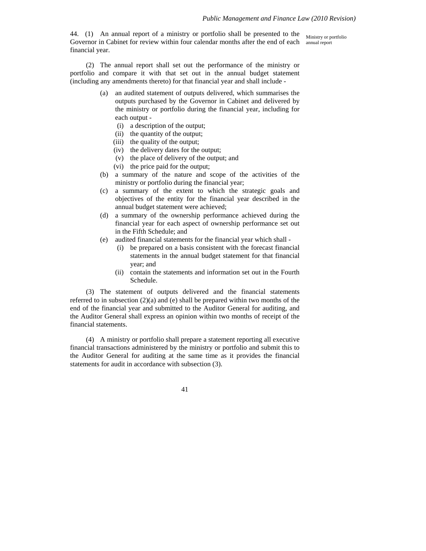44. (1) An annual report of a ministry or portfolio shall be presented to the Governor in Cabinet for review within four calendar months after the end of each annual report financial year.

Ministry or portfolio

(2) The annual report shall set out the performance of the ministry or portfolio and compare it with that set out in the annual budget statement (including any amendments thereto) for that financial year and shall include -

- (a) an audited statement of outputs delivered, which summarises the outputs purchased by the Governor in Cabinet and delivered by the ministry or portfolio during the financial year, including for each output -
	- (i) a description of the output;
	- (ii) the quantity of the output;
	- (iii) the quality of the output;
	- (iv) the delivery dates for the output;
	- (v) the place of delivery of the output; and
	- (vi) the price paid for the output;
- (b) a summary of the nature and scope of the activities of the ministry or portfolio during the financial year;
- (c) a summary of the extent to which the strategic goals and objectives of the entity for the financial year described in the annual budget statement were achieved;
- (d) a summary of the ownership performance achieved during the financial year for each aspect of ownership performance set out in the Fifth Schedule; and
- (e) audited financial statements for the financial year which shall
	- (i) be prepared on a basis consistent with the forecast financial statements in the annual budget statement for that financial year; and
	- (ii) contain the statements and information set out in the Fourth Schedule.

 (3) The statement of outputs delivered and the financial statements referred to in subsection (2)(a) and (e) shall be prepared within two months of the end of the financial year and submitted to the Auditor General for auditing, and the Auditor General shall express an opinion within two months of receipt of the financial statements.

 (4) A ministry or portfolio shall prepare a statement reporting all executive financial transactions administered by the ministry or portfolio and submit this to the Auditor General for auditing at the same time as it provides the financial statements for audit in accordance with subsection (3).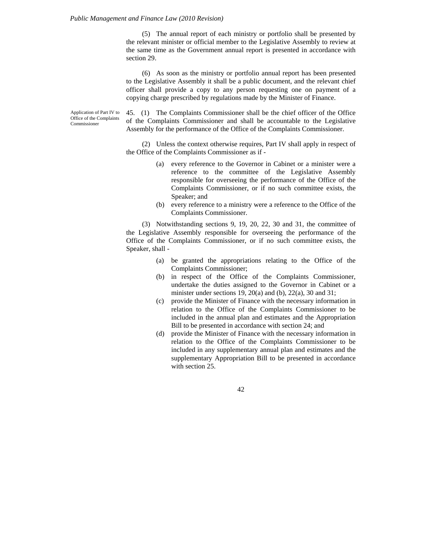(5) The annual report of each ministry or portfolio shall be presented by the relevant minister or official member to the Legislative Assembly to review at the same time as the Government annual report is presented in accordance with section 29.

 (6) As soon as the ministry or portfolio annual report has been presented to the Legislative Assembly it shall be a public document, and the relevant chief officer shall provide a copy to any person requesting one on payment of a copying charge prescribed by regulations made by the Minister of Finance.

Application of Part IV to Office of the Complaints Commissioner

45. (1) The Complaints Commissioner shall be the chief officer of the Office of the Complaints Commissioner and shall be accountable to the Legislative Assembly for the performance of the Office of the Complaints Commissioner.

(2) Unless the context otherwise requires, Part IV shall apply in respect of the Office of the Complaints Commissioner as if -

- (a) every reference to the Governor in Cabinet or a minister were a reference to the committee of the Legislative Assembly responsible for overseeing the performance of the Office of the Complaints Commissioner, or if no such committee exists, the Speaker; and
- (b) every reference to a ministry were a reference to the Office of the Complaints Commissioner.

 (3) Notwithstanding sections 9, 19, 20, 22, 30 and 31, the committee of the Legislative Assembly responsible for overseeing the performance of the Office of the Complaints Commissioner, or if no such committee exists, the Speaker, shall -

- (a) be granted the appropriations relating to the Office of the Complaints Commissioner;
- (b) in respect of the Office of the Complaints Commissioner, undertake the duties assigned to the Governor in Cabinet or a minister under sections 19, 20(a) and (b), 22(a), 30 and 31;
- (c) provide the Minister of Finance with the necessary information in relation to the Office of the Complaints Commissioner to be included in the annual plan and estimates and the Appropriation Bill to be presented in accordance with section 24; and
- (d) provide the Minister of Finance with the necessary information in relation to the Office of the Complaints Commissioner to be included in any supplementary annual plan and estimates and the supplementary Appropriation Bill to be presented in accordance with section 25.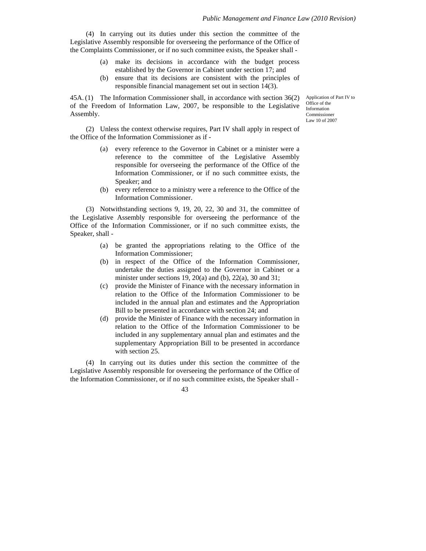(4) In carrying out its duties under this section the committee of the Legislative Assembly responsible for overseeing the performance of the Office of the Complaints Commissioner, or if no such committee exists, the Speaker shall -

- (a) make its decisions in accordance with the budget process established by the Governor in Cabinet under section 17; and
- (b) ensure that its decisions are consistent with the principles of responsible financial management set out in section 14(3).

45A. (1) The Information Commissioner shall, in accordance with section 36(2) of the Freedom of Information Law, 2007, be responsible to the Legislative Assembly.

Application of Part IV to Office of the Information Commissioner Law 10 of 2007

(2) Unless the context otherwise requires, Part IV shall apply in respect of the Office of the Information Commissioner as if -

- (a) every reference to the Governor in Cabinet or a minister were a reference to the committee of the Legislative Assembly responsible for overseeing the performance of the Office of the Information Commissioner, or if no such committee exists, the Speaker; and
- (b) every reference to a ministry were a reference to the Office of the Information Commissioner.

 (3) Notwithstanding sections 9, 19, 20, 22, 30 and 31, the committee of the Legislative Assembly responsible for overseeing the performance of the Office of the Information Commissioner, or if no such committee exists, the Speaker, shall -

- (a) be granted the appropriations relating to the Office of the Information Commissioner;
- (b) in respect of the Office of the Information Commissioner, undertake the duties assigned to the Governor in Cabinet or a minister under sections 19, 20(a) and (b), 22(a), 30 and 31;
- (c) provide the Minister of Finance with the necessary information in relation to the Office of the Information Commissioner to be included in the annual plan and estimates and the Appropriation Bill to be presented in accordance with section 24; and
- (d) provide the Minister of Finance with the necessary information in relation to the Office of the Information Commissioner to be included in any supplementary annual plan and estimates and the supplementary Appropriation Bill to be presented in accordance with section 25.

 (4) In carrying out its duties under this section the committee of the Legislative Assembly responsible for overseeing the performance of the Office of the Information Commissioner, or if no such committee exists, the Speaker shall -

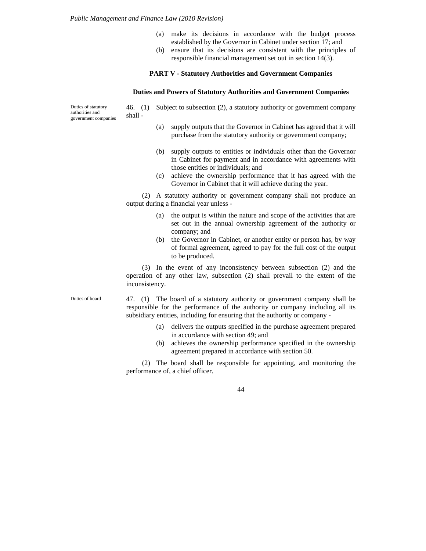*Public Management and Finance Law (2010 Revision)* 

- (a) make its decisions in accordance with the budget process established by the Governor in Cabinet under section 17; and
- (b) ensure that its decisions are consistent with the principles of responsible financial management set out in section 14(3).

## **PART V - Statutory Authorities and Government Companies**

## **Duties and Powers of Statutory Authorities and Government Companies**

Duties of statutory authorities and government companies 46. (1) Subject to subsection **(**2), a statutory authority or government company shall -

- (a) supply outputs that the Governor in Cabinet has agreed that it will purchase from the statutory authority or government company;
- (b) supply outputs to entities or individuals other than the Governor in Cabinet for payment and in accordance with agreements with those entities or individuals; and
- (c) achieve the ownership performance that it has agreed with the Governor in Cabinet that it will achieve during the year.

 (2) A statutory authority or government company shall not produce an output during a financial year unless -

- (a) the output is within the nature and scope of the activities that are set out in the annual ownership agreement of the authority or company; and
- (b) the Governor in Cabinet, or another entity or person has, by way of formal agreement, agreed to pay for the full cost of the output to be produced.

 (3) In the event of any inconsistency between subsection (2) and the operation of any other law, subsection (2) shall prevail to the extent of the inconsistency.

Duties of board

47. (1) The board of a statutory authority or government company shall be responsible for the performance of the authority or company including all its subsidiary entities, including for ensuring that the authority or company -

- (a) delivers the outputs specified in the purchase agreement prepared in accordance with section 49; and
- (b) achieves the ownership performance specified in the ownership agreement prepared in accordance with section 50.

 (2) The board shall be responsible for appointing, and monitoring the performance of, a chief officer.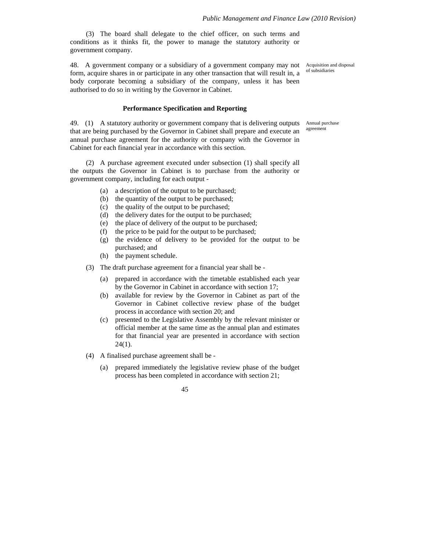(3) The board shall delegate to the chief officer, on such terms and conditions as it thinks fit, the power to manage the statutory authority or government company.

48. A government company or a subsidiary of a government company may not form, acquire shares in or participate in any other transaction that will result in, a body corporate becoming a subsidiary of the company, unless it has been authorised to do so in writing by the Governor in Cabinet.

#### **Performance Specification and Reporting**

Acquisition and disposal of subsidiaries

agreement

49. (1) A statutory authority or government company that is delivering outputs Annual purchase that are being purchased by the Governor in Cabinet shall prepare and execute an annual purchase agreement for the authority or company with the Governor in Cabinet for each financial year in accordance with this section.

(2) A purchase agreement executed under subsection (1) shall specify all the outputs the Governor in Cabinet is to purchase from the authority or government company, including for each output -

- (a) a description of the output to be purchased;
- (b) the quantity of the output to be purchased;
- (c) the quality of the output to be purchased;
- (d) the delivery dates for the output to be purchased;
- (e) the place of delivery of the output to be purchased;
- (f) the price to be paid for the output to be purchased;
- (g) the evidence of delivery to be provided for the output to be purchased; and
- (h) the payment schedule.
- (3) The draft purchase agreement for a financial year shall be
	- (a) prepared in accordance with the timetable established each year by the Governor in Cabinet in accordance with section 17;
	- (b) available for review by the Governor in Cabinet as part of the Governor in Cabinet collective review phase of the budget process in accordance with section 20; and
	- (c) presented to the Legislative Assembly by the relevant minister or official member at the same time as the annual plan and estimates for that financial year are presented in accordance with section 24(1).
- (4) A finalised purchase agreement shall be
	- (a) prepared immediately the legislative review phase of the budget process has been completed in accordance with section 21;

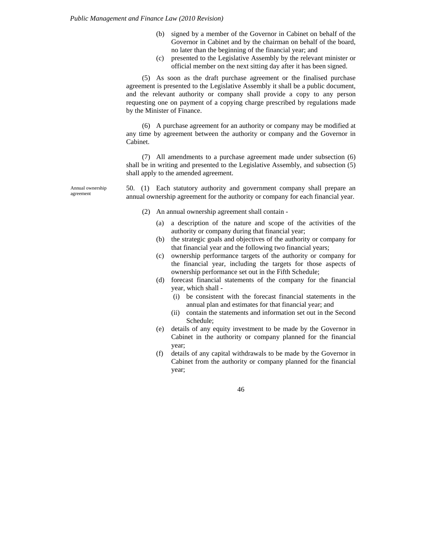- (b) signed by a member of the Governor in Cabinet on behalf of the Governor in Cabinet and by the chairman on behalf of the board, no later than the beginning of the financial year; and
- (c) presented to the Legislative Assembly by the relevant minister or official member on the next sitting day after it has been signed.

 (5) As soon as the draft purchase agreement or the finalised purchase agreement is presented to the Legislative Assembly it shall be a public document, and the relevant authority or company shall provide a copy to any person requesting one on payment of a copying charge prescribed by regulations made by the Minister of Finance.

 (6) A purchase agreement for an authority or company may be modified at any time by agreement between the authority or company and the Governor in Cabinet.

 (7) All amendments to a purchase agreement made under subsection (6) shall be in writing and presented to the Legislative Assembly, and subsection (5) shall apply to the amended agreement.

Annual ownership agreement

50. (1) Each statutory authority and government company shall prepare an annual ownership agreement for the authority or company for each financial year.

- (2) An annual ownership agreement shall contain
	- (a) a description of the nature and scope of the activities of the authority or company during that financial year;
	- (b) the strategic goals and objectives of the authority or company for that financial year and the following two financial years;
	- (c) ownership performance targets of the authority or company for the financial year, including the targets for those aspects of ownership performance set out in the Fifth Schedule;
	- (d) forecast financial statements of the company for the financial year, which shall -
		- (i) be consistent with the forecast financial statements in the annual plan and estimates for that financial year; and
		- (ii) contain the statements and information set out in the Second Schedule;
	- (e) details of any equity investment to be made by the Governor in Cabinet in the authority or company planned for the financial year;
	- (f) details of any capital withdrawals to be made by the Governor in Cabinet from the authority or company planned for the financial year;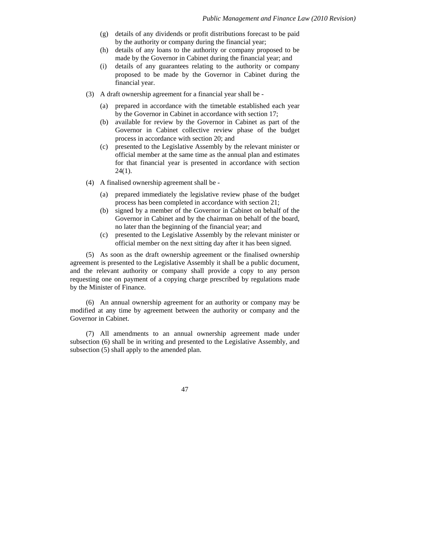- (g) details of any dividends or profit distributions forecast to be paid by the authority or company during the financial year;
- (h) details of any loans to the authority or company proposed to be made by the Governor in Cabinet during the financial year; and
- (i) details of any guarantees relating to the authority or company proposed to be made by the Governor in Cabinet during the financial year.
- (3) A draft ownership agreement for a financial year shall be
	- (a) prepared in accordance with the timetable established each year by the Governor in Cabinet in accordance with section 17;
	- (b) available for review by the Governor in Cabinet as part of the Governor in Cabinet collective review phase of the budget process in accordance with section 20; and
	- (c) presented to the Legislative Assembly by the relevant minister or official member at the same time as the annual plan and estimates for that financial year is presented in accordance with section  $24(1)$ .
- (4) A finalised ownership agreement shall be
	- (a) prepared immediately the legislative review phase of the budget process has been completed in accordance with section 21;
	- (b) signed by a member of the Governor in Cabinet on behalf of the Governor in Cabinet and by the chairman on behalf of the board, no later than the beginning of the financial year; and
	- (c) presented to the Legislative Assembly by the relevant minister or official member on the next sitting day after it has been signed.

 (5) As soon as the draft ownership agreement or the finalised ownership agreement is presented to the Legislative Assembly it shall be a public document, and the relevant authority or company shall provide a copy to any person requesting one on payment of a copying charge prescribed by regulations made by the Minister of Finance.

 (6) An annual ownership agreement for an authority or company may be modified at any time by agreement between the authority or company and the Governor in Cabinet.

 (7) All amendments to an annual ownership agreement made under subsection (6) shall be in writing and presented to the Legislative Assembly, and subsection (5) shall apply to the amended plan.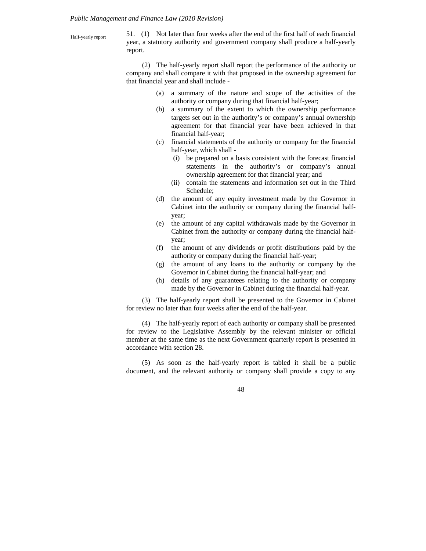#### *Public Management and Finance Law (2010 Revision)*

Half-yearly report

51. (1) Not later than four weeks after the end of the first half of each financial year, a statutory authority and government company shall produce a half-yearly report.

(2) The half-yearly report shall report the performance of the authority or company and shall compare it with that proposed in the ownership agreement for that financial year and shall include -

- (a) a summary of the nature and scope of the activities of the authority or company during that financial half-year;
- (b) a summary of the extent to which the ownership performance targets set out in the authority's or company's annual ownership agreement for that financial year have been achieved in that financial half-year;
- (c) financial statements of the authority or company for the financial half-year, which shall -
	- (i) be prepared on a basis consistent with the forecast financial statements in the authority's or company's annual ownership agreement for that financial year; and
	- (ii) contain the statements and information set out in the Third Schedule;
- (d) the amount of any equity investment made by the Governor in Cabinet into the authority or company during the financial halfyear;
- (e) the amount of any capital withdrawals made by the Governor in Cabinet from the authority or company during the financial halfyear;
- (f) the amount of any dividends or profit distributions paid by the authority or company during the financial half-year;
- (g) the amount of any loans to the authority or company by the Governor in Cabinet during the financial half-year; and
- (h) details of any guarantees relating to the authority or company made by the Governor in Cabinet during the financial half-year.

 (3) The half-yearly report shall be presented to the Governor in Cabinet for review no later than four weeks after the end of the half-year.

 (4) The half-yearly report of each authority or company shall be presented for review to the Legislative Assembly by the relevant minister or official member at the same time as the next Government quarterly report is presented in accordance with section 28.

 (5) As soon as the half-yearly report is tabled it shall be a public document, and the relevant authority or company shall provide a copy to any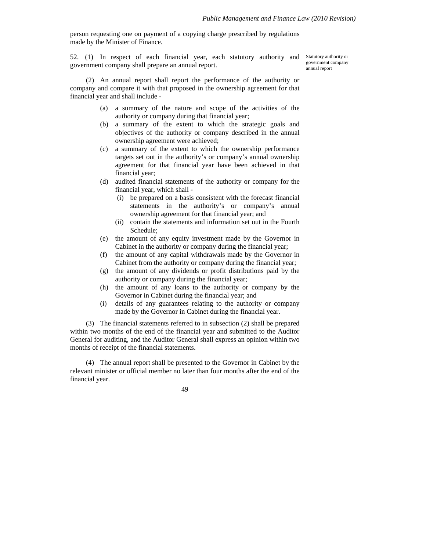person requesting one on payment of a copying charge prescribed by regulations made by the Minister of Finance.

52. (1) In respect of each financial year, each statutory authority and government company shall prepare an annual report.

Statutory authority or government company annual report

(2) An annual report shall report the performance of the authority or company and compare it with that proposed in the ownership agreement for that financial year and shall include -

- (a) a summary of the nature and scope of the activities of the authority or company during that financial year;
- (b) a summary of the extent to which the strategic goals and objectives of the authority or company described in the annual ownership agreement were achieved;
- (c) a summary of the extent to which the ownership performance targets set out in the authority's or company's annual ownership agreement for that financial year have been achieved in that financial year;
- (d) audited financial statements of the authority or company for the financial year, which shall -
	- (i) be prepared on a basis consistent with the forecast financial statements in the authority's or company's annual ownership agreement for that financial year; and
	- (ii) contain the statements and information set out in the Fourth Schedule;
- (e) the amount of any equity investment made by the Governor in Cabinet in the authority or company during the financial year;
- (f) the amount of any capital withdrawals made by the Governor in Cabinet from the authority or company during the financial year;
- (g) the amount of any dividends or profit distributions paid by the authority or company during the financial year;
- (h) the amount of any loans to the authority or company by the Governor in Cabinet during the financial year; and
- (i) details of any guarantees relating to the authority or company made by the Governor in Cabinet during the financial year.

 (3) The financial statements referred to in subsection (2) shall be prepared within two months of the end of the financial year and submitted to the Auditor General for auditing, and the Auditor General shall express an opinion within two months of receipt of the financial statements.

 (4) The annual report shall be presented to the Governor in Cabinet by the relevant minister or official member no later than four months after the end of the financial year.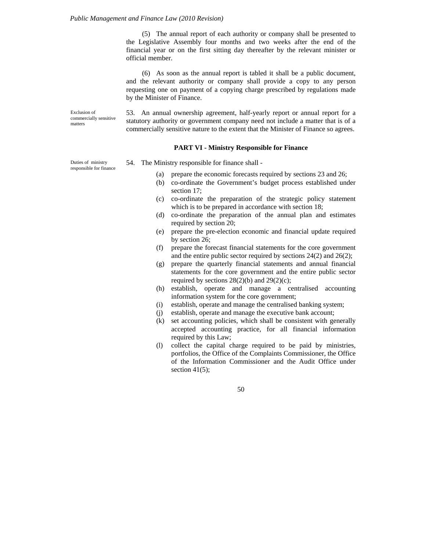(5) The annual report of each authority or company shall be presented to the Legislative Assembly four months and two weeks after the end of the financial year or on the first sitting day thereafter by the relevant minister or official member.

 (6) As soon as the annual report is tabled it shall be a public document, and the relevant authority or company shall provide a copy to any person requesting one on payment of a copying charge prescribed by regulations made by the Minister of Finance.

Exclusion of commercially sensitive matters

53. An annual ownership agreement, half-yearly report or annual report for a statutory authority or government company need not include a matter that is of a commercially sensitive nature to the extent that the Minister of Finance so agrees.

#### **PART VI - Ministry Responsible for Finance**

Duties of ministry 54. The Ministry responsible for finance shall - responsible for finance

- (a) prepare the economic forecasts required by sections 23 and 26;
- (b) co-ordinate the Government's budget process established under section 17;
- (c) co-ordinate the preparation of the strategic policy statement which is to be prepared in accordance with section 18;
- (d) co-ordinate the preparation of the annual plan and estimates required by section 20;
- (e) prepare the pre-election economic and financial update required by section 26;
- (f) prepare the forecast financial statements for the core government and the entire public sector required by sections 24(2) and 26(2);
- (g) prepare the quarterly financial statements and annual financial statements for the core government and the entire public sector required by sections 28(2)(b) and 29(2)(c);
- (h) establish, operate and manage a centralised accounting information system for the core government;
- (i) establish, operate and manage the centralised banking system;
- (j) establish, operate and manage the executive bank account;
- (k) set accounting policies, which shall be consistent with generally accepted accounting practice, for all financial information required by this Law;
- (l) collect the capital charge required to be paid by ministries, portfolios, the Office of the Complaints Commissioner, the Office of the Information Commissioner and the Audit Office under section  $41(5)$ ;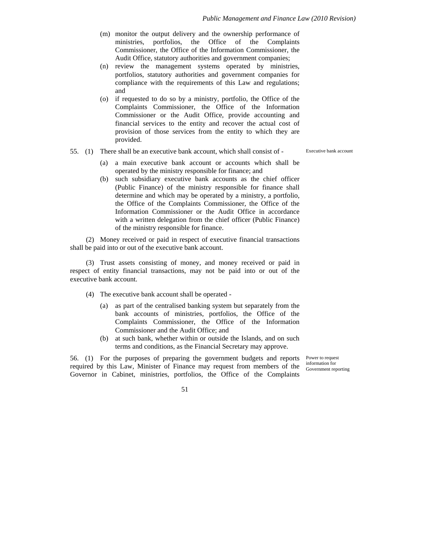- (m) monitor the output delivery and the ownership performance of ministries, portfolios, the Office of the Complaints Commissioner, the Office of the Information Commissioner, the Audit Office, statutory authorities and government companies;
- (n) review the management systems operated by ministries, portfolios, statutory authorities and government companies for compliance with the requirements of this Law and regulations; and
- (o) if requested to do so by a ministry, portfolio, the Office of the Complaints Commissioner, the Office of the Information Commissioner or the Audit Office, provide accounting and financial services to the entity and recover the actual cost of provision of those services from the entity to which they are provided.
- 55. (1) There shall be an executive bank account, which shall consist of Executive bank account

- (a) a main executive bank account or accounts which shall be operated by the ministry responsible for finance; and
- (b) such subsidiary executive bank accounts as the chief officer (Public Finance) of the ministry responsible for finance shall determine and which may be operated by a ministry, a portfolio, the Office of the Complaints Commissioner, the Office of the Information Commissioner or the Audit Office in accordance with a written delegation from the chief officer (Public Finance) of the ministry responsible for finance.

 (2) Money received or paid in respect of executive financial transactions shall be paid into or out of the executive bank account.

 (3) Trust assets consisting of money, and money received or paid in respect of entity financial transactions, may not be paid into or out of the executive bank account.

- (4) The executive bank account shall be operated
	- (a) as part of the centralised banking system but separately from the bank accounts of ministries, portfolios, the Office of the Complaints Commissioner, the Office of the Information Commissioner and the Audit Office; and
	- (b) at such bank, whether within or outside the Islands, and on such terms and conditions, as the Financial Secretary may approve.

56. (1) For the purposes of preparing the government budgets and reports required by this Law, Minister of Finance may request from members of the Governor in Cabinet, ministries, portfolios, the Office of the Complaints

Power to request information for Government reporting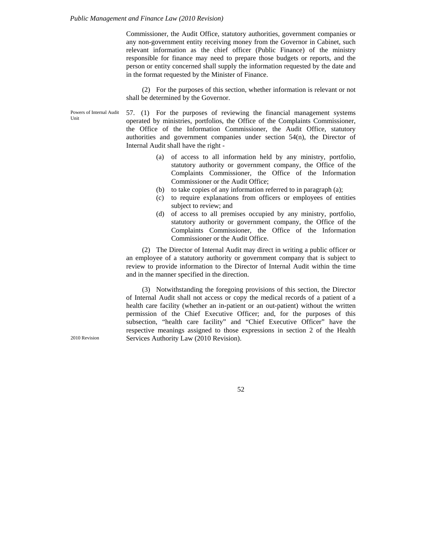#### *Public Management and Finance Law (2010 Revision)*

Commissioner, the Audit Office, statutory authorities, government companies or any non-government entity receiving money from the Governor in Cabinet, such relevant information as the chief officer (Public Finance) of the ministry responsible for finance may need to prepare those budgets or reports, and the person or entity concerned shall supply the information requested by the date and in the format requested by the Minister of Finance.

 (2) For the purposes of this section, whether information is relevant or not shall be determined by the Governor.

Powers of Internal Audit Unit

57. (1) For the purposes of reviewing the financial management systems operated by ministries, portfolios, the Office of the Complaints Commissioner, the Office of the Information Commissioner, the Audit Office, statutory authorities and government companies under section 54(n), the Director of Internal Audit shall have the right -

- (a) of access to all information held by any ministry, portfolio, statutory authority or government company, the Office of the Complaints Commissioner, the Office of the Information Commissioner or the Audit Office;
- (b) to take copies of any information referred to in paragraph (a);
- (c) to require explanations from officers or employees of entities subject to review; and
- (d) of access to all premises occupied by any ministry, portfolio, statutory authority or government company, the Office of the Complaints Commissioner, the Office of the Information Commissioner or the Audit Office.

 (2) The Director of Internal Audit may direct in writing a public officer or an employee of a statutory authority or government company that is subject to review to provide information to the Director of Internal Audit within the time and in the manner specified in the direction.

 (3) Notwithstanding the foregoing provisions of this section, the Director of Internal Audit shall not access or copy the medical records of a patient of a health care facility (whether an in-patient or an out-patient) without the written permission of the Chief Executive Officer; and, for the purposes of this subsection, "health care facility" and "Chief Executive Officer" have the respective meanings assigned to those expressions in section 2 of the Health 2010 Revision Services Authority Law (2010 Revision).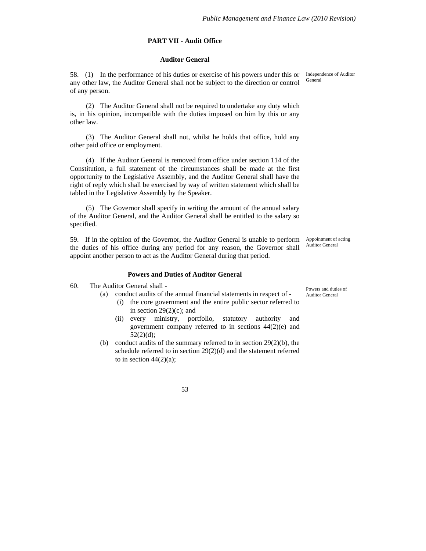## **PART VII - Audit Office**

### **Auditor General**

58. (1) In the performance of his duties or exercise of his powers under this or any other law, the Auditor General shall not be subject to the direction or control of any person.

(2) The Auditor General shall not be required to undertake any duty which is, in his opinion, incompatible with the duties imposed on him by this or any other law.

 (3) The Auditor General shall not, whilst he holds that office, hold any other paid office or employment.

 (4) If the Auditor General is removed from office under section 114 of the Constitution, a full statement of the circumstances shall be made at the first opportunity to the Legislative Assembly, and the Auditor General shall have the right of reply which shall be exercised by way of written statement which shall be tabled in the Legislative Assembly by the Speaker.

 (5) The Governor shall specify in writing the amount of the annual salary of the Auditor General, and the Auditor General shall be entitled to the salary so specified.

59. If in the opinion of the Governor, the Auditor General is unable to perform the duties of his office during any period for any reason, the Governor shall appoint another person to act as the Auditor General during that period.

#### **Powers and Duties of Auditor General**

## 60. The Auditor General shall - Powers and duties of

- (a) conduct audits of the annual financial statements in respect of Auditor General
	- (i) the core government and the entire public sector referred to in section  $29(2)(c)$ ; and
	- (ii) every ministry, portfolio, statutory authority and government company referred to in sections 44(2)(e) and  $52(2)(d);$
- (b) conduct audits of the summary referred to in section  $29(2)(b)$ , the schedule referred to in section 29(2)(d) and the statement referred to in section  $44(2)(a)$ ;

Independence of Auditor General

Appointment of acting Auditor General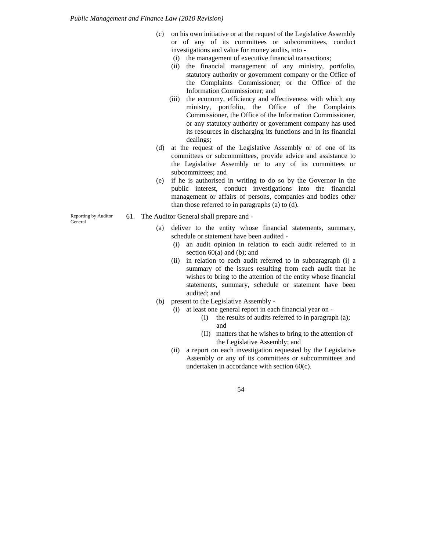- (c) on his own initiative or at the request of the Legislative Assembly or of any of its committees or subcommittees, conduct investigations and value for money audits, into -
	- (i) the management of executive financial transactions;
	- (ii) the financial management of any ministry, portfolio, statutory authority or government company or the Office of the Complaints Commissioner; or the Office of the Information Commissioner; and
	- (iii) the economy, efficiency and effectiveness with which any ministry, portfolio, the Office of the Complaints Commissioner, the Office of the Information Commissioner, or any statutory authority or government company has used its resources in discharging its functions and in its financial dealings;
- (d) at the request of the Legislative Assembly or of one of its committees or subcommittees, provide advice and assistance to the Legislative Assembly or to any of its committees or subcommittees; and
- (e) if he is authorised in writing to do so by the Governor in the public interest, conduct investigations into the financial management or affairs of persons, companies and bodies other than those referred to in paragraphs (a) to (d).
- Reporting by Auditor 61. The Auditor General shall prepare and General
	- (a) deliver to the entity whose financial statements, summary, schedule or statement have been audited -
		- (i) an audit opinion in relation to each audit referred to in section 60(a) and (b); and
		- (ii) in relation to each audit referred to in subparagraph (i) a summary of the issues resulting from each audit that he wishes to bring to the attention of the entity whose financial statements, summary, schedule or statement have been audited; and
	- (b) present to the Legislative Assembly
		- (i) at least one general report in each financial year on
			- (I) the results of audits referred to in paragraph (a); and
			- (II) matters that he wishes to bring to the attention of the Legislative Assembly; and
		- (ii) a report on each investigation requested by the Legislative Assembly or any of its committees or subcommittees and undertaken in accordance with section 60(c).
			- 54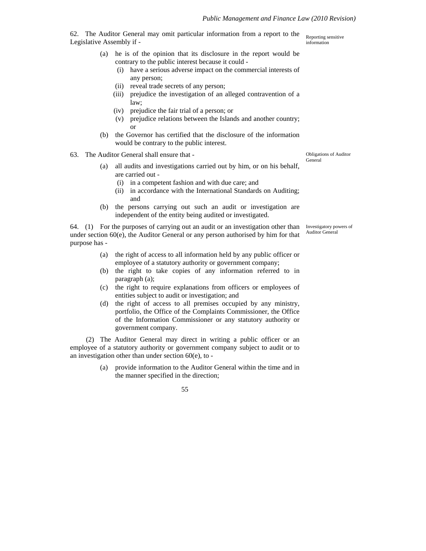62. The Auditor General may omit particular information from a report to the Reporting sensitive Legislative Assembly if -

- (a) he is of the opinion that its disclosure in the report would be contrary to the public interest because it could -
	- (i) have a serious adverse impact on the commercial interests of any person;
	- (ii) reveal trade secrets of any person;
	- (iii) prejudice the investigation of an alleged contravention of a law;
	- (iv) prejudice the fair trial of a person; or
	- (v) prejudice relations between the Islands and another country; or
- (b) the Governor has certified that the disclosure of the information would be contrary to the public interest.
- 63. The Auditor General shall ensure that Obligations of Auditor
	- (a) all audits and investigations carried out by him, or on his behalf, are carried out -
		- (i) in a competent fashion and with due care; and
		- (ii) in accordance with the International Standards on Auditing; and
	- (b) the persons carrying out such an audit or investigation are independent of the entity being audited or investigated.

64. (1) For the purposes of carrying out an audit or an investigation other than under section  $60(e)$ , the Auditor General or any person authorised by him for that purpose has -

- (a) the right of access to all information held by any public officer or employee of a statutory authority or government company;
- (b) the right to take copies of any information referred to in paragraph (a);
- (c) the right to require explanations from officers or employees of entities subject to audit or investigation; and
- (d) the right of access to all premises occupied by any ministry, portfolio, the Office of the Complaints Commissioner, the Office of the Information Commissioner or any statutory authority or government company.

 (2) The Auditor General may direct in writing a public officer or an employee of a statutory authority or government company subject to audit or to an investigation other than under section  $60(e)$ , to -

> (a) provide information to the Auditor General within the time and in the manner specified in the direction;

> > 55

General

Investigatory powers of Auditor General

information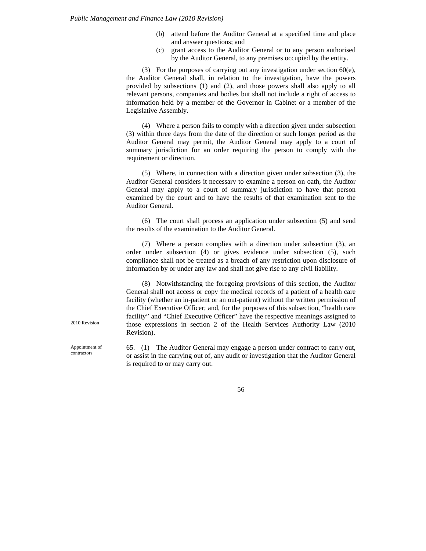- (b) attend before the Auditor General at a specified time and place and answer questions; and
- (c) grant access to the Auditor General or to any person authorised by the Auditor General, to any premises occupied by the entity.

 (3) For the purposes of carrying out any investigation under section 60(e), the Auditor General shall, in relation to the investigation, have the powers provided by subsections (1) and (2), and those powers shall also apply to all relevant persons, companies and bodies but shall not include a right of access to information held by a member of the Governor in Cabinet or a member of the Legislative Assembly.

 (4) Where a person fails to comply with a direction given under subsection (3) within three days from the date of the direction or such longer period as the Auditor General may permit, the Auditor General may apply to a court of summary jurisdiction for an order requiring the person to comply with the requirement or direction.

 (5) Where, in connection with a direction given under subsection (3), the Auditor General considers it necessary to examine a person on oath, the Auditor General may apply to a court of summary jurisdiction to have that person examined by the court and to have the results of that examination sent to the Auditor General.

 (6) The court shall process an application under subsection (5) and send the results of the examination to the Auditor General.

 (7) Where a person complies with a direction under subsection (3), an order under subsection (4) or gives evidence under subsection (5), such compliance shall not be treated as a breach of any restriction upon disclosure of information by or under any law and shall not give rise to any civil liability.

 (8) Notwithstanding the foregoing provisions of this section, the Auditor General shall not access or copy the medical records of a patient of a health care facility (whether an in-patient or an out-patient) without the written permission of the Chief Executive Officer; and, for the purposes of this subsection, "health care facility" and "Chief Executive Officer" have the respective meanings assigned to those expressions in section 2 of the Health Services Authority Law (2010 Revision).

65. (1) The Auditor General may engage a person under contract to carry out, or assist in the carrying out of, any audit or investigation that the Auditor General is required to or may carry out.

2010 Revision

Appointment of contractors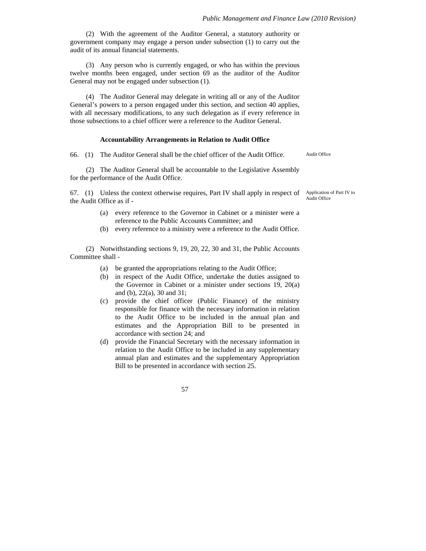(2) With the agreement of the Auditor General, a statutory authority or government company may engage a person under subsection (1) to carry out the audit of its annual financial statements.

 (3) Any person who is currently engaged, or who has within the previous twelve months been engaged, under section 69 as the auditor of the Auditor General may not be engaged under subsection (1).

 (4) The Auditor General may delegate in writing all or any of the Auditor General's powers to a person engaged under this section, and section 40 applies, with all necessary modifications, to any such delegation as if every reference in those subsections to a chief officer were a reference to the Auditor General.

#### **Accountability Arrangements in Relation to Audit Office**

66. (1) The Auditor General shall be the chief officer of the Audit Office. Audit Office

(2) The Auditor General shall be accountable to the Legislative Assembly for the performance of the Audit Office.

67. (1) Unless the context otherwise requires, Part IV shall apply in respect of Application of Part IV to the Audit Office as if -

- (a) every reference to the Governor in Cabinet or a minister were a reference to the Public Accounts Committee; and
- (b) every reference to a ministry were a reference to the Audit Office.

 (2) Notwithstanding sections 9, 19, 20, 22, 30 and 31, the Public Accounts Committee shall -

- (a) be granted the appropriations relating to the Audit Office;
- (b) in respect of the Audit Office, undertake the duties assigned to the Governor in Cabinet or a minister under sections 19, 20(a) and (b), 22(a), 30 and 31;
- (c) provide the chief officer (Public Finance) of the ministry responsible for finance with the necessary information in relation to the Audit Office to be included in the annual plan and estimates and the Appropriation Bill to be presented in accordance with section 24; and
- (d) provide the Financial Secretary with the necessary information in relation to the Audit Office to be included in any supplementary annual plan and estimates and the supplementary Appropriation Bill to be presented in accordance with section 25.

Audit Office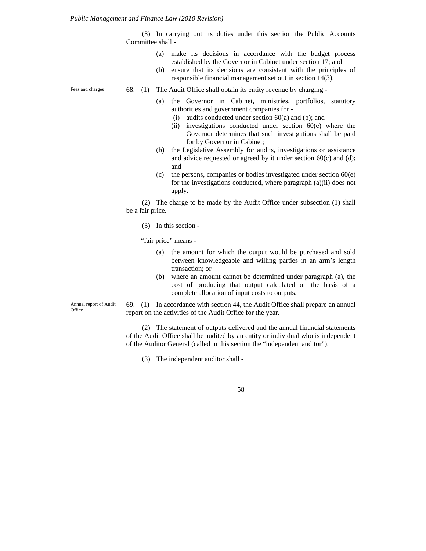(3) In carrying out its duties under this section the Public Accounts Committee shall -

- (a) make its decisions in accordance with the budget process established by the Governor in Cabinet under section 17; and
- (b) ensure that its decisions are consistent with the principles of responsible financial management set out in section 14(3).

- Fees and charges 68. (1) The Audit Office shall obtain its entity revenue by charging -
	- (a) the Governor in Cabinet, ministries, portfolios, statutory authorities and government companies for -
		- (i) audits conducted under section 60(a) and (b); and
		- (ii) investigations conducted under section 60(e) where the Governor determines that such investigations shall be paid for by Governor in Cabinet;
	- (b) the Legislative Assembly for audits, investigations or assistance and advice requested or agreed by it under section 60(c) and (d); and
	- (c) the persons, companies or bodies investigated under section  $60(e)$ for the investigations conducted, where paragraph (a)(ii) does not apply.

 (2) The charge to be made by the Audit Office under subsection (1) shall be a fair price.

(3) In this section -

"fair price" means -

- (a) the amount for which the output would be purchased and sold between knowledgeable and willing parties in an arm's length transaction; or
- (b) where an amount cannot be determined under paragraph (a), the cost of producing that output calculated on the basis of a complete allocation of input costs to outputs.

Annual report of Audit **Office** 

69. (1) In accordance with section 44, the Audit Office shall prepare an annual report on the activities of the Audit Office for the year.

(2) The statement of outputs delivered and the annual financial statements of the Audit Office shall be audited by an entity or individual who is independent of the Auditor General (called in this section the "independent auditor").

(3) The independent auditor shall -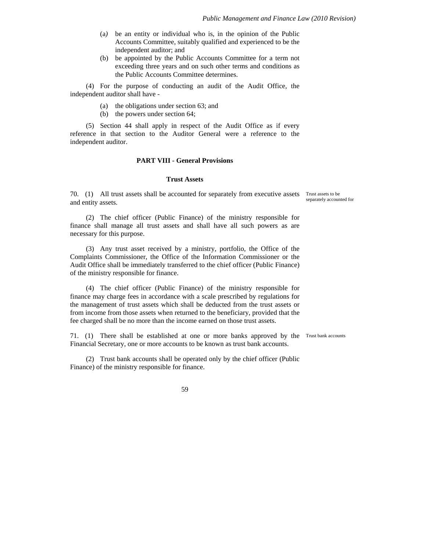- (a*)* be an entity or individual who is, in the opinion of the Public Accounts Committee, suitably qualified and experienced to be the independent auditor; and
- (b) be appointed by the Public Accounts Committee for a term not exceeding three years and on such other terms and conditions as the Public Accounts Committee determines.

 (4) For the purpose of conducting an audit of the Audit Office, the independent auditor shall have -

- (a) the obligations under section 63; and
- (b) the powers under section 64;

and entity assets.

 (5) Section 44 shall apply in respect of the Audit Office as if every reference in that section to the Auditor General were a reference to the independent auditor.

## **PART VIII - General Provisions**

## **Trust Assets**

70. (1) All trust assets shall be accounted for separately from executive assets Trust assets to be separately accounted for

(2) The chief officer (Public Finance) of the ministry responsible for finance shall manage all trust assets and shall have all such powers as are necessary for this purpose.

 (3) Any trust asset received by a ministry, portfolio, the Office of the Complaints Commissioner, the Office of the Information Commissioner or the Audit Office shall be immediately transferred to the chief officer (Public Finance) of the ministry responsible for finance.

 (4) The chief officer (Public Finance) of the ministry responsible for finance may charge fees in accordance with a scale prescribed by regulations for the management of trust assets which shall be deducted from the trust assets or from income from those assets when returned to the beneficiary, provided that the fee charged shall be no more than the income earned on those trust assets.

71. (1) There shall be established at one or more banks approved by the Trust bank accounts Financial Secretary, one or more accounts to be known as trust bank accounts.

(2) Trust bank accounts shall be operated only by the chief officer (Public Finance) of the ministry responsible for finance.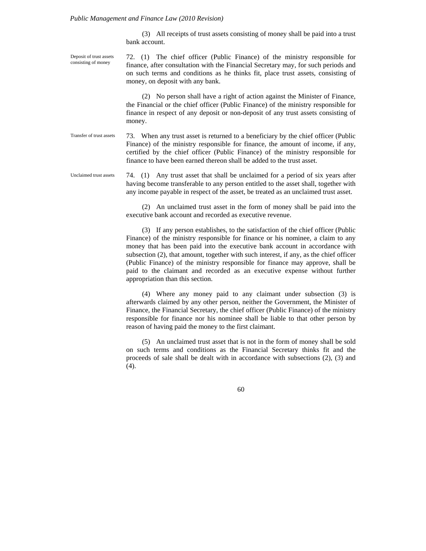*Public Management and Finance Law (2010 Revision)* 

(3) All receipts of trust assets consisting of money shall be paid into a trust bank account.

Deposit of trust assets consisting of money

72. (1) The chief officer (Public Finance) of the ministry responsible for finance, after consultation with the Financial Secretary may, for such periods and on such terms and conditions as he thinks fit, place trust assets, consisting of money, on deposit with any bank.

(2) No person shall have a right of action against the Minister of Finance, the Financial or the chief officer (Public Finance) of the ministry responsible for finance in respect of any deposit or non-deposit of any trust assets consisting of money.

73. When any trust asset is returned to a beneficiary by the chief officer (Public Finance) of the ministry responsible for finance, the amount of income, if any, certified by the chief officer (Public Finance) of the ministry responsible for finance to have been earned thereon shall be added to the trust asset. Transfer of trust assets

74. (1) Any trust asset that shall be unclaimed for a period of six years after having become transferable to any person entitled to the asset shall, together with any income payable in respect of the asset, be treated as an unclaimed trust asset. Unclaimed trust assets

> (2) An unclaimed trust asset in the form of money shall be paid into the executive bank account and recorded as executive revenue.

> (3) If any person establishes, to the satisfaction of the chief officer (Public Finance) of the ministry responsible for finance or his nominee, a claim to any money that has been paid into the executive bank account in accordance with subsection (2), that amount, together with such interest, if any, as the chief officer (Public Finance) of the ministry responsible for finance may approve, shall be paid to the claimant and recorded as an executive expense without further appropriation than this section.

> (4) Where any money paid to any claimant under subsection (3) is afterwards claimed by any other person, neither the Government, the Minister of Finance, the Financial Secretary, the chief officer (Public Finance) of the ministry responsible for finance nor his nominee shall be liable to that other person by reason of having paid the money to the first claimant.

> (5) An unclaimed trust asset that is not in the form of money shall be sold on such terms and conditions as the Financial Secretary thinks fit and the proceeds of sale shall be dealt with in accordance with subsections (2), (3) and (4).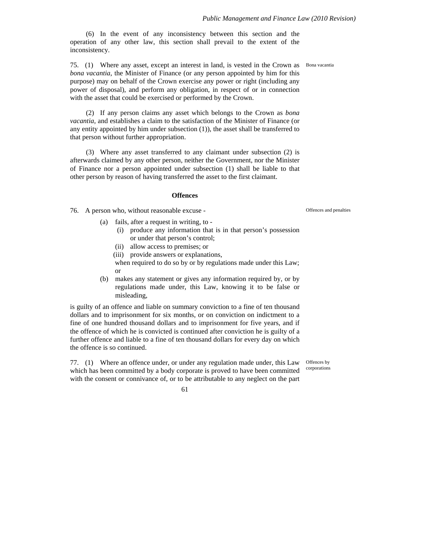(6) In the event of any inconsistency between this section and the operation of any other law, this section shall prevail to the extent of the inconsistency.

75. (1) Where any asset, except an interest in land, is vested in the Crown as *bona vacantia*, the Minister of Finance (or any person appointed by him for this purpose) may on behalf of the Crown exercise any power or right (including any power of disposal), and perform any obligation, in respect of or in connection with the asset that could be exercised or performed by the Crown.

(2) If any person claims any asset which belongs to the Crown as *bona vacantia*, and establishes a claim to the satisfaction of the Minister of Finance (or any entity appointed by him under subsection (1)), the asset shall be transferred to that person without further appropriation.

 (3) Where any asset transferred to any claimant under subsection (2) is afterwards claimed by any other person, neither the Government, nor the Minister of Finance nor a person appointed under subsection (1) shall be liable to that other person by reason of having transferred the asset to the first claimant.

## **Offences**

76. A person who, without reasonable excuse - Offences and penalties

- (a) fails, after a request in writing, to
	- (i) produce any information that is in that person's possession or under that person's control;
	- (ii) allow access to premises; or
	- (iii) provide answers or explanations,

when required to do so by or by regulations made under this Law; or

(b) makes any statement or gives any information required by, or by regulations made under, this Law, knowing it to be false or misleading,

is guilty of an offence and liable on summary conviction to a fine of ten thousand dollars and to imprisonment for six months, or on conviction on indictment to a fine of one hundred thousand dollars and to imprisonment for five years, and if the offence of which he is convicted is continued after conviction he is guilty of a further offence and liable to a fine of ten thousand dollars for every day on which the offence is so continued.

77. (1) Where an offence under, or under any regulation made under, this Law which has been committed by a body corporate is proved to have been committed with the consent or connivance of, or to be attributable to any neglect on the part Offences by corporations

61

Bona vacantia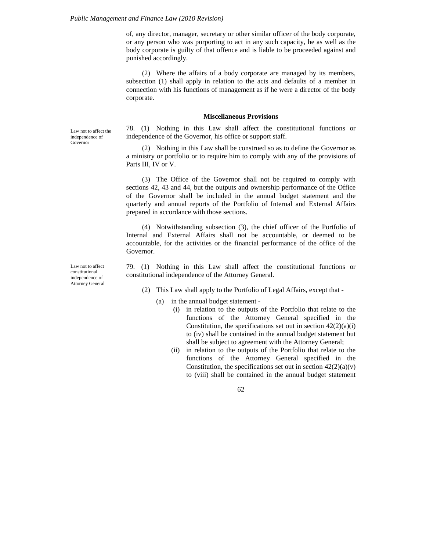of, any director, manager, secretary or other similar officer of the body corporate, or any person who was purporting to act in any such capacity, he as well as the body corporate is guilty of that offence and is liable to be proceeded against and punished accordingly.

 (2) Where the affairs of a body corporate are managed by its members, subsection (1) shall apply in relation to the acts and defaults of a member in connection with his functions of management as if he were a director of the body corporate.

#### **Miscellaneous Provisions**

78. (1) Nothing in this Law shall affect the constitutional functions or independence of the Governor, his office or support staff.

(2) Nothing in this Law shall be construed so as to define the Governor as a ministry or portfolio or to require him to comply with any of the provisions of Parts III, IV or V.

 (3) The Office of the Governor shall not be required to comply with sections 42, 43 and 44, but the outputs and ownership performance of the Office of the Governor shall be included in the annual budget statement and the quarterly and annual reports of the Portfolio of Internal and External Affairs prepared in accordance with those sections.

 (4) Notwithstanding subsection (3), the chief officer of the Portfolio of Internal and External Affairs shall not be accountable, or deemed to be accountable, for the activities or the financial performance of the office of the Governor.

79. (1) Nothing in this Law shall affect the constitutional functions or constitutional independence of the Attorney General.

(2) This Law shall apply to the Portfolio of Legal Affairs, except that -

- (a) in the annual budget statement
	- (i) in relation to the outputs of the Portfolio that relate to the functions of the Attorney General specified in the Constitution, the specifications set out in section  $42(2)(a)(i)$ to (iv) shall be contained in the annual budget statement but shall be subject to agreement with the Attorney General;
	- (ii) in relation to the outputs of the Portfolio that relate to the functions of the Attorney General specified in the Constitution, the specifications set out in section  $42(2)(a)(v)$ to (viii) shall be contained in the annual budget statement

62

Law not to affect the independence of Governor

Law not to affect constitutional independence of Attorney General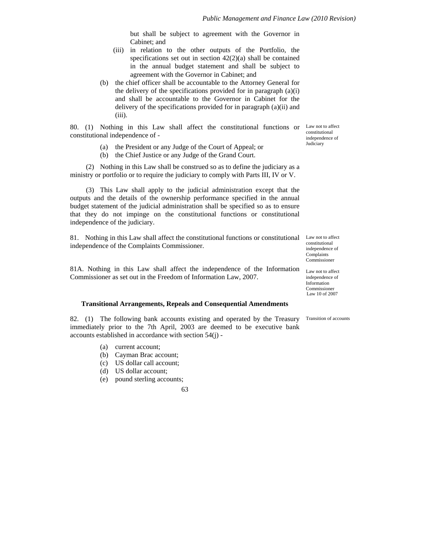but shall be subject to agreement with the Governor in Cabinet; and

- (iii) in relation to the other outputs of the Portfolio, the specifications set out in section 42(2)(a) shall be contained in the annual budget statement and shall be subject to agreement with the Governor in Cabinet; and
- (b) the chief officer shall be accountable to the Attorney General for the delivery of the specifications provided for in paragraph  $(a)(i)$ and shall be accountable to the Governor in Cabinet for the delivery of the specifications provided for in paragraph (a)(ii) and (iii).

80. (1) Nothing in this Law shall affect the constitutional functions or Law not to affect constitutional independence of -

- (a) the President or any Judge of the Court of Appeal; or
- (b) the Chief Justice or any Judge of the Grand Court.

 (2) Nothing in this Law shall be construed so as to define the judiciary as a ministry or portfolio or to require the judiciary to comply with Parts III, IV or V.

 (3) This Law shall apply to the judicial administration except that the outputs and the details of the ownership performance specified in the annual budget statement of the judicial administration shall be specified so as to ensure that they do not impinge on the constitutional functions or constitutional independence of the judiciary.

81. Nothing in this Law shall affect the constitutional functions or constitutional Law not to affect independence of the Complaints Commissioner.

81A. Nothing in this Law shall affect the independence of the Information Commissioner as set out in the Freedom of Information Law, 2007.

### **Transitional Arrangements, Repeals and Consequential Amendments**

82. (1) The following bank accounts existing and operated by the Treasury immediately prior to the 7th April, 2003 are deemed to be executive bank accounts established in accordance with section 54(j) -

- (a) current account;
- (b) Cayman Brac account;
- (c) US dollar call account;
- (d) US dollar account;
- (e) pound sterling accounts;

63

constitutional independence of

constitutional independence of Complaints Commissioner

Law not to affect independence of Information Commissioner Law 10 of 2007

Transition of accounts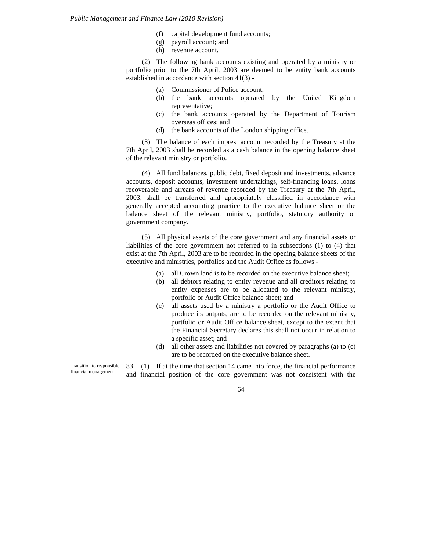*Public Management and Finance Law (2010 Revision)* 

- (f) capital development fund accounts;
- (g) payroll account; and
- (h) revenue account.

 (2) The following bank accounts existing and operated by a ministry or portfolio prior to the 7th April, 2003 are deemed to be entity bank accounts established in accordance with section 41(3) -

- (a) Commissioner of Police account;
- (b) the bank accounts operated by the United Kingdom representative;
- (c) the bank accounts operated by the Department of Tourism overseas offices; and
- (d) the bank accounts of the London shipping office.

 (3) The balance of each imprest account recorded by the Treasury at the 7th April, 2003 shall be recorded as a cash balance in the opening balance sheet of the relevant ministry or portfolio.

 (4) All fund balances, public debt, fixed deposit and investments, advance accounts, deposit accounts, investment undertakings, self-financing loans, loans recoverable and arrears of revenue recorded by the Treasury at the 7th April, 2003, shall be transferred and appropriately classified in accordance with generally accepted accounting practice to the executive balance sheet or the balance sheet of the relevant ministry, portfolio, statutory authority or government company.

 (5) All physical assets of the core government and any financial assets or liabilities of the core government not referred to in subsections (1) to (4) that exist at the 7th April, 2003 are to be recorded in the opening balance sheets of the executive and ministries, portfolios and the Audit Office as follows -

- (a) all Crown land is to be recorded on the executive balance sheet;
- (b) all debtors relating to entity revenue and all creditors relating to entity expenses are to be allocated to the relevant ministry, portfolio or Audit Office balance sheet; and
- (c) all assets used by a ministry a portfolio or the Audit Office to produce its outputs, are to be recorded on the relevant ministry, portfolio or Audit Office balance sheet, except to the extent that the Financial Secretary declares this shall not occur in relation to a specific asset; and
- (d) all other assets and liabilities not covered by paragraphs (a) to (c) are to be recorded on the executive balance sheet.
- 83. (1) If at the time that section 14 came into force, the financial performance and financial position of the core government was not consistent with the

64

Transition to responsible financial management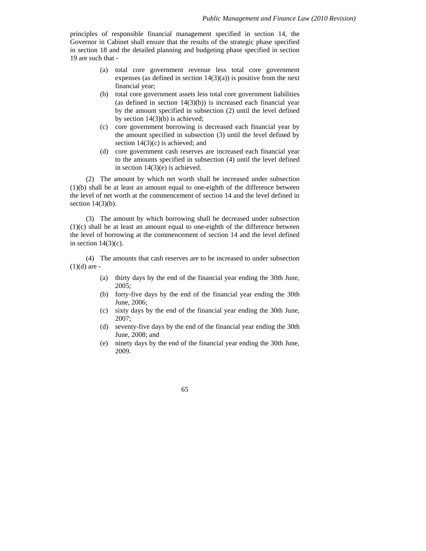principles of responsible financial management specified in section 14, the Governor in Cabinet shall ensure that the results of the strategic phase specified in section 18 and the detailed planning and budgeting phase specified in section 19 are such that -

- (a) total core government revenue less total core government expenses (as defined in section  $14(3)(a)$ ) is positive from the next financial year;
- (b) total core government assets less total core government liabilities (as defined in section  $14(3)(b)$ ) is increased each financial year by the amount specified in subsection (2) until the level defined by section 14(3)(b) is achieved;
- (c) core government borrowing is decreased each financial year by the amount specified in subsection (3) until the level defined by section  $14(3)(c)$  is achieved; and
- (d) core government cash reserves are increased each financial year to the amounts specified in subsection (4) until the level defined in section 14(3)(e) is achieved.

 (2) The amount by which net worth shall be increased under subsection (1)(b) shall be at least an amount equal to one-eighth of the difference between the level of net worth at the commencement of section 14 and the level defined in section  $14(3)(b)$ .

 (3) The amount by which borrowing shall be decreased under subsection (1)(c) shall be at least an amount equal to one-eighth of the difference between the level of borrowing at the commencement of section 14 and the level defined in section  $14(3)(c)$ .

 (4) The amounts that cash reserves are to be increased to under subsection  $(1)(d)$  are -

- (a) thirty days by the end of the financial year ending the 30th June, 2005;
- (b) forty-five days by the end of the financial year ending the 30th June, 2006;
- (c) sixty days by the end of the financial year ending the 30th June, 2007;
- (d) seventy-five days by the end of the financial year ending the 30th June, 2008; and
- (e) ninety days by the end of the financial year ending the 30th June, 2009.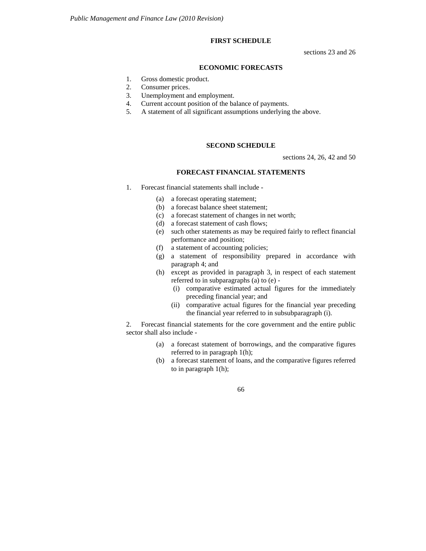### **FIRST SCHEDULE**

sections 23 and 26

### **ECONOMIC FORECASTS**

- 1. Gross domestic product.
- 2. Consumer prices.
- 3. Unemployment and employment.
- 4. Current account position of the balance of payments.
- 5. A statement of all significant assumptions underlying the above.

## **SECOND SCHEDULE**

sections 24, 26, 42 and 50

## **FORECAST FINANCIAL STATEMENTS**

- 1. Forecast financial statements shall include
	- (a) a forecast operating statement;
	- (b) a forecast balance sheet statement;
	- (c) a forecast statement of changes in net worth;
	- (d) a forecast statement of cash flows;
	- (e) such other statements as may be required fairly to reflect financial performance and position;
	- (f) a statement of accounting policies;
	- (g) a statement of responsibility prepared in accordance with paragraph 4; and
	- (h) except as provided in paragraph 3, in respect of each statement referred to in subparagraphs (a) to (e) -
		- (i) comparative estimated actual figures for the immediately preceding financial year; and
		- (ii) comparative actual figures for the financial year preceding the financial year referred to in subsubparagraph (i).

2. Forecast financial statements for the core government and the entire public sector shall also include -

- (a) a forecast statement of borrowings, and the comparative figures referred to in paragraph 1(h);
- (b) a forecast statement of loans, and the comparative figures referred to in paragraph 1(h);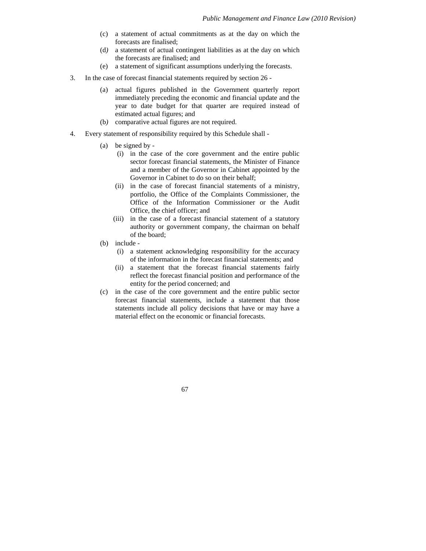- (c) a statement of actual commitments as at the day on which the forecasts are finalised;
- (d*)* a statement of actual contingent liabilities as at the day on which the forecasts are finalised; and
- (e) a statement of significant assumptions underlying the forecasts.
- 3. In the case of forecast financial statements required by section 26
	- (a) actual figures published in the Government quarterly report immediately preceding the economic and financial update and the year to date budget for that quarter are required instead of estimated actual figures; and
	- (b*)* comparative actual figures are not required.
- 4. Every statement of responsibility required by this Schedule shall
	- (a) be signed by
		- (i) in the case of the core government and the entire public sector forecast financial statements, the Minister of Finance and a member of the Governor in Cabinet appointed by the Governor in Cabinet to do so on their behalf;
		- (ii) in the case of forecast financial statements of a ministry, portfolio, the Office of the Complaints Commissioner, the Office of the Information Commissioner or the Audit Office, the chief officer; and
		- (iii) in the case of a forecast financial statement of a statutory authority or government company, the chairman on behalf of the board;
	- (b) include
		- (i) a statement acknowledging responsibility for the accuracy of the information in the forecast financial statements; and
		- (ii) a statement that the forecast financial statements fairly reflect the forecast financial position and performance of the entity for the period concerned; and
	- (c) in the case of the core government and the entire public sector forecast financial statements, include a statement that those statements include all policy decisions that have or may have a material effect on the economic or financial forecasts.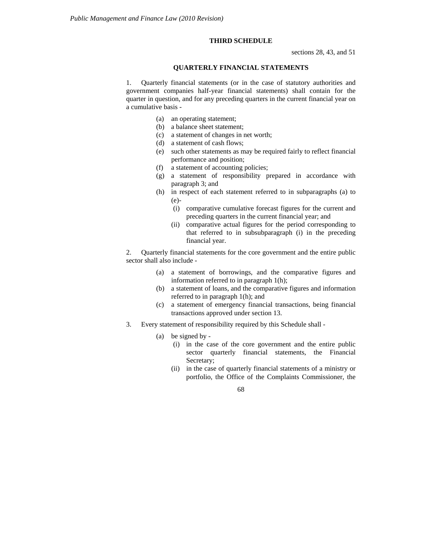### **THIRD SCHEDULE**

## **QUARTERLY FINANCIAL STATEMENTS**

1. Quarterly financial statements (or in the case of statutory authorities and government companies half-year financial statements) shall contain for the quarter in question, and for any preceding quarters in the current financial year on a cumulative basis -

- (a) an operating statement;
- (b) a balance sheet statement;
- (c) a statement of changes in net worth;
- (d) a statement of cash flows;
- (e) such other statements as may be required fairly to reflect financial performance and position;
- (f) a statement of accounting policies;
- (g) a statement of responsibility prepared in accordance with paragraph 3; and
- (h) in respect of each statement referred to in subparagraphs (a) to (e)-
	- (i) comparative cumulative forecast figures for the current and preceding quarters in the current financial year; and
	- (ii) comparative actual figures for the period corresponding to that referred to in subsubparagraph (i) in the preceding financial year.

2. Quarterly financial statements for the core government and the entire public sector shall also include -

- (a) a statement of borrowings, and the comparative figures and information referred to in paragraph 1(h);
- (b) a statement of loans, and the comparative figures and information referred to in paragraph 1(h); and
- (c) a statement of emergency financial transactions, being financial transactions approved under section 13.
- 3. Every statement of responsibility required by this Schedule shall
	- (a) be signed by
		- (i) in the case of the core government and the entire public sector quarterly financial statements, the Financial Secretary;
		- (ii) in the case of quarterly financial statements of a ministry or portfolio, the Office of the Complaints Commissioner, the

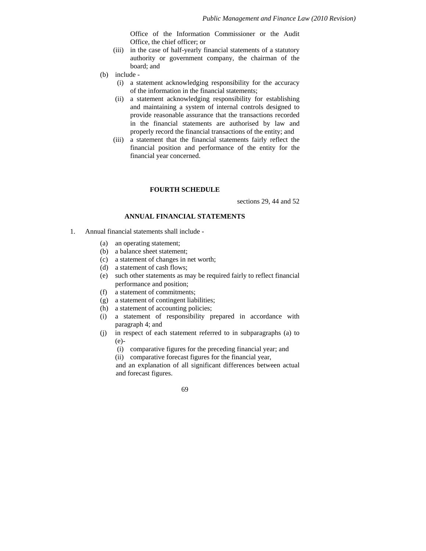Office of the Information Commissioner or the Audit Office, the chief officer; or

- (iii) in the case of half-yearly financial statements of a statutory authority or government company, the chairman of the board; and
- (b) include
	- (i) a statement acknowledging responsibility for the accuracy of the information in the financial statements;
	- (ii) a statement acknowledging responsibility for establishing and maintaining a system of internal controls designed to provide reasonable assurance that the transactions recorded in the financial statements are authorised by law and properly record the financial transactions of the entity; and
	- (iii) a statement that the financial statements fairly reflect the financial position and performance of the entity for the financial year concerned.

## **FOURTH SCHEDULE**

sections 29, 44 and 52

## **ANNUAL FINANCIAL STATEMENTS**

- 1. Annual financial statements shall include
	- (a) an operating statement;
	- (b) a balance sheet statement;
	- (c) a statement of changes in net worth;
	- (d) a statement of cash flows;
	- (e) such other statements as may be required fairly to reflect financial performance and position;
	- (f) a statement of commitments;
	- (g) a statement of contingent liabilities;
	- (h) a statement of accounting policies;
	- (i) a statement of responsibility prepared in accordance with paragraph 4; and
	- (j) in respect of each statement referred to in subparagraphs (a) to (e)-
		- (i) comparative figures for the preceding financial year; and
		- (ii) comparative forecast figures for the financial year,

and an explanation of all significant differences between actual and forecast figures.

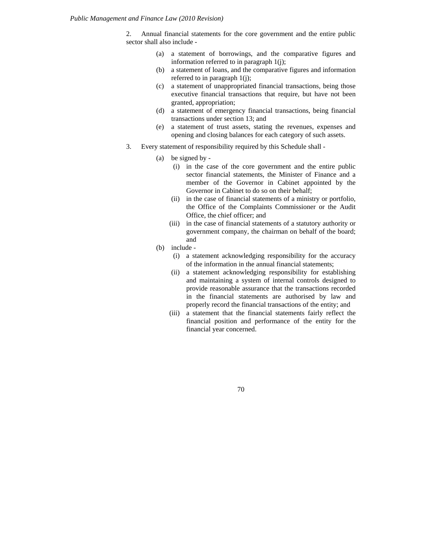2. Annual financial statements for the core government and the entire public sector shall also include -

- (a) a statement of borrowings, and the comparative figures and information referred to in paragraph 1(j);
- (b) a statement of loans, and the comparative figures and information referred to in paragraph 1(j);
- (c) a statement of unappropriated financial transactions, being those executive financial transactions that require, but have not been granted, appropriation;
- (d) a statement of emergency financial transactions, being financial transactions under section 13; and
- (e) a statement of trust assets, stating the revenues, expenses and opening and closing balances for each category of such assets.
- 3. Every statement of responsibility required by this Schedule shall
	- (a) be signed by
		- (i) in the case of the core government and the entire public sector financial statements, the Minister of Finance and a member of the Governor in Cabinet appointed by the Governor in Cabinet to do so on their behalf;
		- (ii) in the case of financial statements of a ministry or portfolio, the Office of the Complaints Commissioner or the Audit Office, the chief officer; and
		- (iii) in the case of financial statements of a statutory authority or government company, the chairman on behalf of the board; and
	- (b) include
		- (i) a statement acknowledging responsibility for the accuracy of the information in the annual financial statements;
		- (ii) a statement acknowledging responsibility for establishing and maintaining a system of internal controls designed to provide reasonable assurance that the transactions recorded in the financial statements are authorised by law and properly record the financial transactions of the entity; and
		- (iii) a statement that the financial statements fairly reflect the financial position and performance of the entity for the financial year concerned.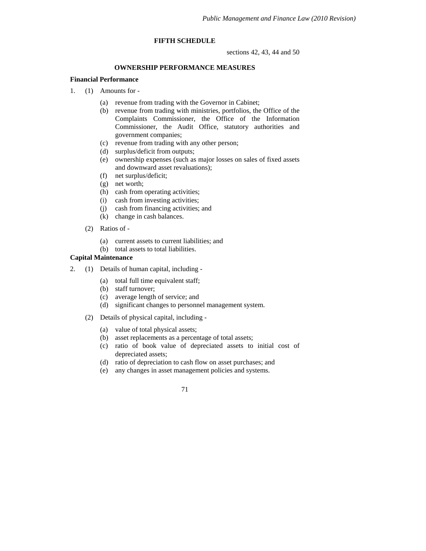### **FIFTH SCHEDULE**

sections 42, 43, 44 and 50

## **OWNERSHIP PERFORMANCE MEASURES**

#### **Financial Performance**

- 1. (1) Amounts for
	- (a) revenue from trading with the Governor in Cabinet;
	- (b) revenue from trading with ministries, portfolios, the Office of the Complaints Commissioner, the Office of the Information Commissioner, the Audit Office, statutory authorities and government companies;
	- (c) revenue from trading with any other person;
	- (d) surplus/deficit from outputs;
	- (e) ownership expenses (such as major losses on sales of fixed assets and downward asset revaluations);
	- (f) net surplus/deficit;
	- (g) net worth;
	- (h) cash from operating activities;
	- (i) cash from investing activities;
	- (j) cash from financing activities; and
	- (k) change in cash balances.
	- (2) Ratios of
		- (a) current assets to current liabilities; and
		- (b) total assets to total liabilities.

## **Capital Maintenance**

- 2. (1) Details of human capital, including
	- (a) total full time equivalent staff;
	- (b) staff turnover;
	- (c) average length of service; and
	- (d) significant changes to personnel management system.
	- (2) Details of physical capital, including
		- (a) value of total physical assets;
		- (b) asset replacements as a percentage of total assets;
		- (c) ratio of book value of depreciated assets to initial cost of depreciated assets;
		- (d) ratio of depreciation to cash flow on asset purchases; and
		- (e) any changes in asset management policies and systems.